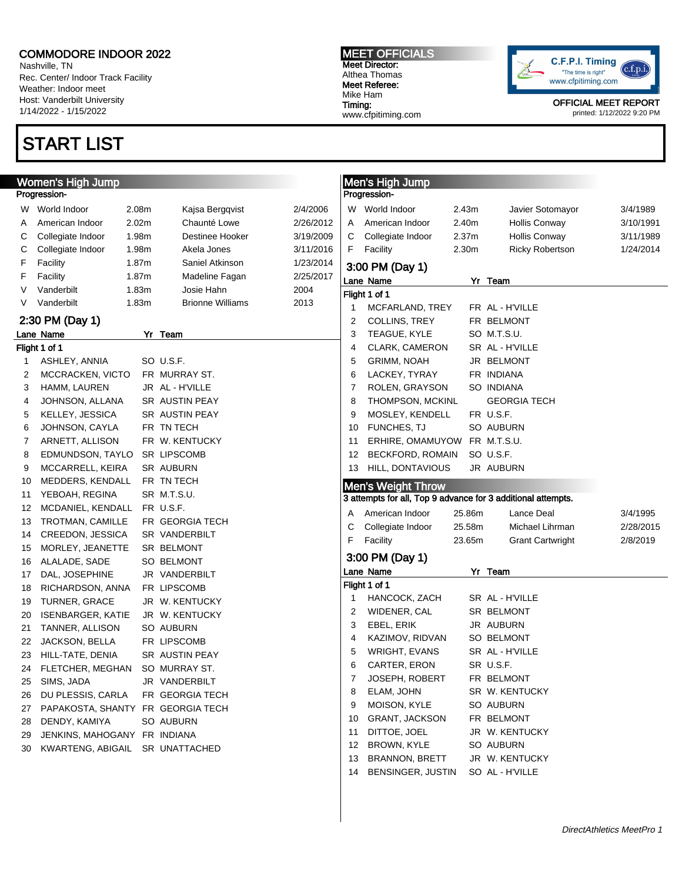W World Indoor 2.08m Kajsa Bergqvist A American Indoor 2.02m Chaunté Lowe C Collegiate Indoor 1.98m Destinee Hooker C Collegiate Indoor 1.98m Akela Jones F Facility 1.87m Saniel Atkinson F Facility 1.87m Madeline Fagan V Vanderbilt 1.83m Josie Hahn V Vanderbilt 1.83m Brionne Williams

Nashville, TN Rec. Center/ Indoor Track Facility Weather: Indoor meet Host: Vanderbilt University 1/14/2022 - 1/15/2022

### START LIST

Women's High Jump

Progression-

### Meet Referee: Mike Ham Timing: www.cfpitiming.com

MEET OFFICIALS Meet Director: Althea Thomas



OFFICIAL MEET REPORT printed: 1/12/2022 9:20 PM

|           | Progression-                                                                              | Men's High Jump                 |        |                          |           |  |  |  |  |  |  |  |
|-----------|-------------------------------------------------------------------------------------------|---------------------------------|--------|--------------------------|-----------|--|--|--|--|--|--|--|
| 2/4/2006  |                                                                                           | W World Indoor                  | 2.43m  | Javier Sotomayor         | 3/4/1989  |  |  |  |  |  |  |  |
| 2/26/2012 | A                                                                                         | American Indoor                 | 2.40m  | Hollis Conway            | 3/10/1991 |  |  |  |  |  |  |  |
| 3/19/2009 | С                                                                                         | Collegiate Indoor               | 2.37m  | Hollis Conway            | 3/11/1989 |  |  |  |  |  |  |  |
| 3/11/2016 | F                                                                                         | Facility                        | 2.30m  | <b>Ricky Robertson</b>   | 1/24/2014 |  |  |  |  |  |  |  |
| 1/23/2014 |                                                                                           |                                 |        |                          |           |  |  |  |  |  |  |  |
| 2/25/2017 |                                                                                           | 3:00 PM (Day 1)                 |        |                          |           |  |  |  |  |  |  |  |
| 2004      | Lane Name                                                                                 |                                 |        | Yr Team                  |           |  |  |  |  |  |  |  |
| 2013      | Flight 1 of 1                                                                             |                                 |        |                          |           |  |  |  |  |  |  |  |
|           | 1                                                                                         | MCFARLAND, TREY                 |        | FR AL - H'VILLE          |           |  |  |  |  |  |  |  |
|           | $\overline{2}$                                                                            | COLLINS, TREY                   |        | FR BELMONT               |           |  |  |  |  |  |  |  |
|           | 3                                                                                         | TEAGUE, KYLE                    |        | SO M.T.S.U.              |           |  |  |  |  |  |  |  |
|           | 4                                                                                         | CLARK, CAMERON                  |        | SR AL - H'VILLE          |           |  |  |  |  |  |  |  |
|           | 5                                                                                         | <b>GRIMM, NOAH</b>              |        | JR BELMONT               |           |  |  |  |  |  |  |  |
|           | 6<br>7                                                                                    | LACKEY, TYRAY<br>ROLEN, GRAYSON |        | FR INDIANA<br>SO INDIANA |           |  |  |  |  |  |  |  |
|           | 8                                                                                         | THOMPSON, MCKINL                |        | <b>GEORGIA TECH</b>      |           |  |  |  |  |  |  |  |
|           | 9                                                                                         | MOSLEY, KENDELL                 |        | FR U.S.F.                |           |  |  |  |  |  |  |  |
|           | 10                                                                                        | <b>FUNCHES, TJ</b>              |        | SO AUBURN                |           |  |  |  |  |  |  |  |
|           | 11                                                                                        | ERHIRE, OMAMUYOW FR M.T.S.U.    |        |                          |           |  |  |  |  |  |  |  |
|           | 12                                                                                        | BECKFORD, ROMAIN                |        | SO U.S.F.                |           |  |  |  |  |  |  |  |
|           | 13                                                                                        | HILL, DONTAVIOUS                |        | JR AUBURN                |           |  |  |  |  |  |  |  |
|           |                                                                                           |                                 |        |                          |           |  |  |  |  |  |  |  |
|           | <b>Men's Weight Throw</b><br>3 attempts for all, Top 9 advance for 3 additional attempts. |                                 |        |                          |           |  |  |  |  |  |  |  |
|           |                                                                                           |                                 |        |                          |           |  |  |  |  |  |  |  |
|           | A                                                                                         | American Indoor                 | 25.86m | Lance Deal               | 3/4/1995  |  |  |  |  |  |  |  |
|           | С                                                                                         | Collegiate Indoor               | 25.58m | Michael Lihrman          | 2/28/2015 |  |  |  |  |  |  |  |
|           | F                                                                                         | Facility                        | 23.65m | <b>Grant Cartwright</b>  | 2/8/2019  |  |  |  |  |  |  |  |
|           |                                                                                           | 3:00 PM (Day 1)                 |        |                          |           |  |  |  |  |  |  |  |
|           | Lane Name                                                                                 |                                 |        | Yr Team                  |           |  |  |  |  |  |  |  |
|           | Flight 1 of 1                                                                             |                                 |        |                          |           |  |  |  |  |  |  |  |
|           | 1                                                                                         | HANCOCK, ZACH                   |        | SR AL - H'VILLE          |           |  |  |  |  |  |  |  |
|           | 2                                                                                         | WIDENER, CAL                    |        | SR BELMONT               |           |  |  |  |  |  |  |  |
|           | 3                                                                                         | EBEL, ERIK                      |        | JR AUBURN                |           |  |  |  |  |  |  |  |
|           | 4                                                                                         | KAZIMOV, RIDVAN                 |        | SO BELMONT               |           |  |  |  |  |  |  |  |
|           | 5                                                                                         | <b>WRIGHT, EVANS</b>            |        | SR AL - H'VILLE          |           |  |  |  |  |  |  |  |
|           | 6                                                                                         | CARTER, ERON                    |        | SR U.S.F.                |           |  |  |  |  |  |  |  |
|           | 7                                                                                         | <b>JOSEPH, ROBERT</b>           |        | FR BELMONT               |           |  |  |  |  |  |  |  |
|           | 8                                                                                         | ELAM, JOHN                      |        | SR W. KENTUCKY           |           |  |  |  |  |  |  |  |
|           | 9                                                                                         | MOISON, KYLE                    |        | SO AUBURN                |           |  |  |  |  |  |  |  |
|           | 10                                                                                        | GRANT, JACKSON                  |        | FR BELMONT               |           |  |  |  |  |  |  |  |
|           | 11                                                                                        | DITTOE, JOEL                    |        | JR W. KENTUCKY           |           |  |  |  |  |  |  |  |
|           | 12                                                                                        | BROWN, KYLE                     |        | SO AUBURN                |           |  |  |  |  |  |  |  |
|           | 13                                                                                        | <b>BRANNON, BRETT</b>           |        | JR W. KENTUCKY           |           |  |  |  |  |  |  |  |
|           | 14                                                                                        | BENSINGER, JUSTIN               |        | SO AL - H'VILLE          |           |  |  |  |  |  |  |  |
|           |                                                                                           |                                 |        |                          |           |  |  |  |  |  |  |  |

### 2:30 PM (Day 1)

|    | Lane Name                         | Yr        | Team                  |
|----|-----------------------------------|-----------|-----------------------|
|    | Flight 1 of 1                     |           |                       |
| 1  | ASHLEY, ANNIA                     |           | SO U.S.F.             |
| 2  | MCCRACKEN, VICTO                  |           | FR MURRAY ST.         |
| 3  | HAMM, LAUREN                      |           | JR AL - H'VILLE       |
| 4  | JOHNSON, ALLANA                   |           | <b>SR AUSTIN PEAY</b> |
| 5  | KELLEY, JESSICA                   |           | <b>SR AUSTIN PEAY</b> |
| 6  | JOHNSON, CAYLA                    |           | FR TN TECH            |
| 7  | ARNETT, ALLISON                   |           | FR W. KENTUCKY        |
| 8  | EDMUNDSON, TAYLO                  |           | <b>SR LIPSCOMB</b>    |
| 9  | MCCARRELL, KEIRA                  |           | <b>SR AUBURN</b>      |
| 10 | MEDDERS, KENDALL                  |           | FR TN TECH            |
| 11 | YEBOAH, REGINA                    | <b>SR</b> | M.T.S.U.              |
| 12 | MCDANIEL, KENDALL                 |           | FR U.S.F.             |
| 13 | TROTMAN, CAMILLE                  |           | FR GEORGIA TECH       |
| 14 | CREEDON, JESSICA                  |           | <b>SR VANDERBILT</b>  |
| 15 | MORLEY, JEANETTE                  |           | SR BELMONT            |
| 16 | ALALADE, SADE                     |           | SO BELMONT            |
| 17 | DAL, JOSEPHINE                    | JR        | VANDERBILT            |
| 18 | RICHARDSON, ANNA                  |           | FR LIPSCOMB           |
| 19 | <b>TURNER, GRACE</b>              | JR        | W. KENTUCKY           |
| 20 | <b>ISENBARGER, KATIE</b>          |           | JR W. KENTUCKY        |
| 21 | TANNER, ALLISON                   |           | SO AUBURN             |
| 22 | JACKSON, BELLA                    |           | FR LIPSCOMB           |
| 23 | HILL-TATE, DENIA                  |           | <b>SR AUSTIN PEAY</b> |
| 24 | FLETCHER, MEGHAN                  |           | SO MURRAY ST.         |
| 25 | SIMS, JADA                        | JR        | VANDERBILT            |
| 26 | DU PLESSIS, CARLA                 | FR.       | <b>GEORGIA TECH</b>   |
| 27 | PAPAKOSTA, SHANTY FR GEORGIA TECH |           |                       |
| 28 | DENDY, KAMIYA                     |           | SO AUBURN             |
| 29 | JENKINS, MAHOGANY FR              |           | <b>INDIANA</b>        |
| 30 | KWARTENG, ABIGAIL                 |           | <b>SR UNATTACHED</b>  |
|    |                                   |           |                       |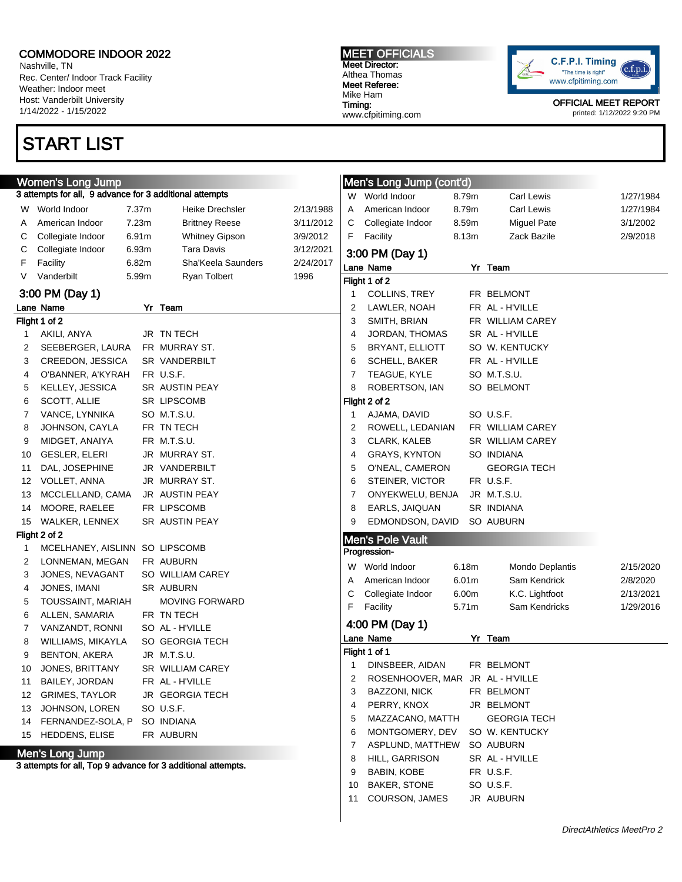Nashville, TN Rec. Center/ Indoor Track Facility Weather: Indoor meet Host: Vanderbilt University 1/14/2022 - 1/15/2022

## START LIST

MEET OFFICIALS Meet Director: Althea Thomas Meet Referee: Mike Ham Timing: www.cfpitiming.com



|        | <b>Women's Long Jump</b>                                     |       |                               |           |    | Men's Long Jump (cont'd)         |                   |                     |           |
|--------|--------------------------------------------------------------|-------|-------------------------------|-----------|----|----------------------------------|-------------------|---------------------|-----------|
|        | 3 attempts for all, 9 advance for 3 additional attempts      |       |                               |           |    | W World Indoor                   | 8.79m             | <b>Carl Lewis</b>   | 1/27/1984 |
| W      | World Indoor                                                 | 7.37m | <b>Heike Drechsler</b>        | 2/13/1988 | Α  | American Indoor                  | 8.79m             | <b>Carl Lewis</b>   | 1/27/1984 |
| Α      | American Indoor                                              | 7.23m | <b>Brittney Reese</b>         | 3/11/2012 | С  | Collegiate Indoor                | 8.59m             | Miguel Pate         | 3/1/2002  |
| С      | Collegiate Indoor                                            | 6.91m | <b>Whitney Gipson</b>         | 3/9/2012  | F  | Facility                         | 8.13m             | Zack Bazile         | 2/9/2018  |
| С      | Collegiate Indoor                                            | 6.93m | <b>Tara Davis</b>             | 3/12/2021 |    |                                  |                   |                     |           |
| F      | Facility                                                     | 6.82m | Sha'Keela Saunders            | 2/24/2017 |    | 3:00 PM (Day 1)                  |                   |                     |           |
| V      | Vanderbilt                                                   | 5.99m | Ryan Tolbert                  | 1996      |    | Lane Name                        |                   | Yr Team             |           |
|        |                                                              |       |                               |           |    | Flight 1 of 2                    |                   |                     |           |
|        | 3:00 PM (Day 1)                                              |       |                               |           |    | COLLINS, TREY                    |                   | FR BELMONT          |           |
|        | Lane Name                                                    |       | Yr Team                       |           | 2  | LAWLER, NOAH                     |                   | FR AL-H'VILLE       |           |
|        | Flight 1 of 2                                                |       |                               |           | 3  | SMITH, BRIAN                     |                   | FR WILLIAM CAREY    |           |
| 1      | AKILI, ANYA                                                  |       | JR TN TECH                    |           | 4  | JORDAN, THOMAS                   |                   | SR AL - H'VILLE     |           |
| 2      | SEEBERGER, LAURA                                             |       | FR MURRAY ST.                 |           | 5  | BRYANT, ELLIOTT                  |                   | SO W. KENTUCKY      |           |
| 3      | CREEDON, JESSICA                                             |       | SR VANDERBILT                 |           | 6  | SCHELL, BAKER                    |                   | FR AL - H'VILLE     |           |
| 4      | O'BANNER, A'KYRAH                                            |       | FR U.S.F.                     |           | 7  | TEAGUE, KYLE                     |                   | SO M.T.S.U.         |           |
| 5      | KELLEY, JESSICA                                              |       | SR AUSTIN PEAY                |           | 8  | ROBERTSON, IAN                   |                   | SO BELMONT          |           |
| 6      | SCOTT, ALLIE                                                 |       | <b>SR LIPSCOMB</b>            |           |    | Flight 2 of 2                    |                   |                     |           |
| 7      | VANCE, LYNNIKA                                               |       | SO M.T.S.U.                   |           |    | AJAMA, DAVID                     |                   | SO U.S.F.           |           |
| 8      | JOHNSON, CAYLA                                               |       | FR TN TECH                    |           | 2  | ROWELL, LEDANIAN                 |                   | FR WILLIAM CAREY    |           |
| 9      | MIDGET, ANAIYA                                               |       | FR M.T.S.U.                   |           | 3  | <b>CLARK, KALEB</b>              |                   | SR WILLIAM CAREY    |           |
| 10     | <b>GESLER, ELERI</b>                                         |       | JR MURRAY ST.                 |           | 4  | GRAYS, KYNTON                    |                   | SO INDIANA          |           |
| 11     | DAL, JOSEPHINE                                               |       | JR VANDERBILT                 |           | 5  | O'NEAL, CAMERON                  |                   | <b>GEORGIA TECH</b> |           |
| 12     | <b>VOLLET, ANNA</b>                                          |       | JR MURRAY ST.                 |           | 6  | STEINER, VICTOR                  |                   | FR U.S.F.           |           |
| 13     | MCCLELLAND, CAMA                                             |       | JR AUSTIN PEAY                |           | 7  | ONYEKWELU, BENJA                 |                   | JR M.T.S.U.         |           |
| 14     | MOORE, RAELEE                                                |       | FR LIPSCOMB                   |           | 8  | EARLS, JAIQUAN                   |                   | SR INDIANA          |           |
| 15     | WALKER, LENNEX                                               |       | SR AUSTIN PEAY                |           | 9  | EDMONDSON, DAVID                 |                   | SO AUBURN           |           |
|        | Flight 2 of 2<br>MCELHANEY, AISLINN SO LIPSCOMB              |       |                               |           |    | <b>Men's Pole Vault</b>          |                   |                     |           |
| 1      |                                                              |       | FR AUBURN                     |           |    | Progression-                     |                   |                     |           |
| 2<br>3 | LONNEMAN, MEGAN<br>JONES, NEVAGANT                           |       |                               |           | W  | World Indoor                     | 6.18m             | Mondo Deplantis     | 2/15/2020 |
|        | JONES, IMANI                                                 |       | SO WILLIAM CAREY<br>SR AUBURN |           | Α  | American Indoor                  | 6.01 <sub>m</sub> | Sam Kendrick        | 2/8/2020  |
| 4<br>5 | TOUSSAINT, MARIAH                                            |       | MOVING FORWARD                |           | C  | Collegiate Indoor                | 6.00m             | K.C. Lightfoot      | 2/13/2021 |
| 6      | ALLEN, SAMARIA                                               |       | FR TN TECH                    |           | F  | Facility                         | 5.71m             | Sam Kendricks       | 1/29/2016 |
| 7      | VANZANDT, RONNI                                              |       | SO AL - H'VILLE               |           |    | 4:00 PM (Day 1)                  |                   |                     |           |
| 8      | WILLIAMS, MIKAYLA                                            |       | SO GEORGIA TECH               |           |    | Lane Name                        |                   | Yr Team             |           |
| 9      | <b>BENTON, AKERA</b>                                         |       | JR M.T.S.U.                   |           |    | Flight 1 of 1                    |                   |                     |           |
| 10     | JONES, BRITTANY                                              |       | SR WILLIAM CAREY              |           |    | 1 DINSBEER, AIDAN                |                   | FR BELMONT          |           |
| 11     | BAILEY, JORDAN                                               |       | FR AL - H'VILLE               |           | 2  | ROSENHOOVER, MAR JR AL - H'VILLE |                   |                     |           |
| 12     | <b>GRIMES, TAYLOR</b>                                        |       | <b>JR GEORGIA TECH</b>        |           | 3  | BAZZONI, NICK                    |                   | FR BELMONT          |           |
| 13     | JOHNSON, LOREN                                               |       | SO U.S.F.                     |           | 4  | PERRY, KNOX                      |                   | JR BELMONT          |           |
|        | 14 FERNANDEZ-SOLA, P                                         |       | SO INDIANA                    |           | 5  | MAZZACANO, MATTH                 |                   | <b>GEORGIA TECH</b> |           |
|        | 15 HEDDENS, ELISE                                            |       | FR AUBURN                     |           | 6  | MONTGOMERY, DEV                  |                   | SO W. KENTUCKY      |           |
|        |                                                              |       |                               |           | 7  | ASPLUND, MATTHEW                 |                   | SO AUBURN           |           |
|        | Men's Long Jump                                              |       |                               |           | 8  | HILL, GARRISON                   |                   | SR AL-H'VILLE       |           |
|        | 3 attempts for all, Top 9 advance for 3 additional attempts. |       |                               |           | 9  | <b>BABIN, KOBE</b>               |                   | FR U.S.F.           |           |
|        |                                                              |       |                               |           | 10 | <b>BAKER, STONE</b>              |                   | SO U.S.F.           |           |
|        |                                                              |       |                               |           | 11 | COURSON, JAMES                   |                   | JR AUBURN           |           |
|        |                                                              |       |                               |           |    |                                  |                   |                     |           |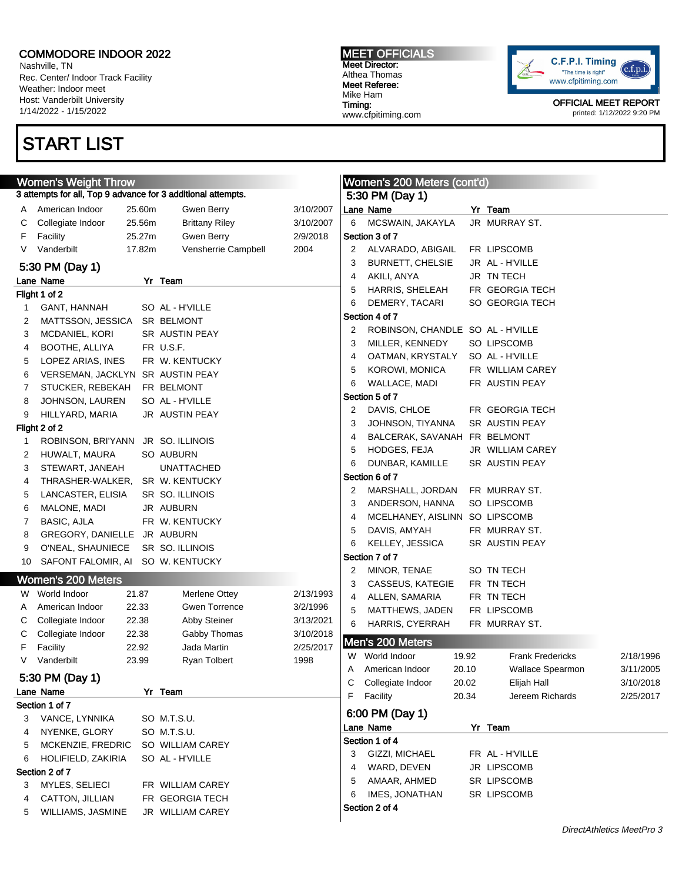Nashville, TN Rec. Center/ Indoor Track Facility Weather: Indoor meet Host: Vanderbilt University 1/14/2022 - 1/15/2022

## START LIST

#### MEET OFFICIALS Meet Director: Althea Thomas Meet Referee: Mike Ham Timing: www.cfpitiming.com



| <b>Women's Weight Throw</b> |                                                              |        |                                     |           |    | Women's 200 Meters (cont'd)       |       |                         |           |
|-----------------------------|--------------------------------------------------------------|--------|-------------------------------------|-----------|----|-----------------------------------|-------|-------------------------|-----------|
|                             | 3 attempts for all, Top 9 advance for 3 additional attempts. |        |                                     |           |    | 5:30 PM (Day 1)                   |       |                         |           |
| A                           | American Indoor                                              | 25.60m | Gwen Berry                          | 3/10/2007 |    | Lane Name                         |       | Yr Team                 |           |
| С                           | Collegiate Indoor                                            | 25.56m | <b>Brittany Riley</b>               | 3/10/2007 | 6  | MCSWAIN, JAKAYLA                  |       | JR MURRAY ST.           |           |
| F                           | Facility                                                     | 25.27m | Gwen Berry                          | 2/9/2018  |    | Section 3 of 7                    |       |                         |           |
| V                           | Vanderbilt                                                   | 17.82m | Vensherrie Campbell                 | 2004      | 2  | ALVARADO, ABIGAIL                 |       | FR LIPSCOMB             |           |
|                             | 5:30 PM (Day 1)                                              |        |                                     |           | 3  | BURNETT, CHELSIE                  |       | JR AL - H'VILLE         |           |
|                             | Lane Name                                                    |        | Yr Team                             |           | 4  | AKILI, ANYA                       |       | JR TN TECH              |           |
|                             | Flight 1 of 2                                                |        |                                     |           | 5  | HARRIS, SHELEAH                   |       | FR GEORGIA TECH         |           |
| 1                           | GANT, HANNAH                                                 |        | SO AL - H'VILLE                     |           | 6  | DEMERY, TACARI                    |       | SO GEORGIA TECH         |           |
| 2                           | MATTSSON, JESSICA                                            |        | SR BELMONT                          |           |    | Section 4 of 7                    |       |                         |           |
| 3                           | MCDANIEL, KORI                                               |        | SR AUSTIN PEAY                      |           | 2  | ROBINSON, CHANDLE SO AL - H'VILLE |       |                         |           |
| 4                           | BOOTHE, ALLIYA                                               |        | FR U.S.F.                           |           | 3  | MILLER, KENNEDY                   |       | SO LIPSCOMB             |           |
| 5                           | LOPEZ ARIAS, INES                                            |        | FR W. KENTUCKY                      |           | 4  | OATMAN, KRYSTALY                  |       | SO AL - H'VILLE         |           |
| 6                           | VERSEMAN, JACKLYN SR AUSTIN PEAY                             |        |                                     |           | 5  | KOROWI, MONICA                    |       | FR WILLIAM CAREY        |           |
| 7                           | STUCKER, REBEKAH                                             |        | FR BELMONT                          |           | 6  | WALLACE, MADI                     |       | FR AUSTIN PEAY          |           |
| 8                           | JOHNSON, LAUREN                                              |        | SO AL - H'VILLE                     |           |    | Section 5 of 7                    |       |                         |           |
| 9                           | HILLYARD, MARIA                                              |        | JR AUSTIN PEAY                      |           | 2  | DAVIS, CHLOE                      |       | FR GEORGIA TECH         |           |
|                             | Flight 2 of 2                                                |        |                                     |           | 3  | JOHNSON, TIYANNA                  |       | SR AUSTIN PEAY          |           |
| 1                           | ROBINSON, BRI'YANN JR SO. ILLINOIS                           |        |                                     |           | 4  | BALCERAK, SAVANAH FR BELMONT      |       |                         |           |
| 2                           | HUWALT, MAURA                                                |        | SO AUBURN                           |           | 5  | HODGES, FEJA                      |       | JR WILLIAM CAREY        |           |
| 3                           | STEWART, JANEAH                                              |        | <b>UNATTACHED</b>                   |           | 6  | DUNBAR, KAMILLE                   |       | SR AUSTIN PEAY          |           |
| 4                           | THRASHER-WALKER,                                             |        | SR W. KENTUCKY                      |           |    | Section 6 of 7                    |       |                         |           |
| 5                           | LANCASTER, ELISIA                                            |        | SR SO. ILLINOIS                     |           | 2  | MARSHALL, JORDAN                  |       | FR MURRAY ST.           |           |
| 6                           | MALONE, MADI                                                 |        | JR AUBURN                           |           | 3  | ANDERSON, HANNA                   |       | SO LIPSCOMB             |           |
| 7                           | <b>BASIC, AJLA</b>                                           |        | FR W. KENTUCKY                      |           | 4  | MCELHANEY, AISLINN SO LIPSCOMB    |       |                         |           |
| 8                           | GREGORY, DANIELLE JR AUBURN                                  |        |                                     |           | 5  | DAVIS, AMYAH                      |       | FR MURRAY ST.           |           |
| 9                           | O'NEAL, SHAUNIECE                                            |        | SR SO. ILLINOIS                     |           | 6  | KELLEY, JESSICA                   |       | SR AUSTIN PEAY          |           |
| 10                          | SAFONT FALOMIR, AI SO W. KENTUCKY                            |        |                                     |           |    | Section 7 of 7                    |       |                         |           |
|                             | <b>Women's 200 Meters</b>                                    |        |                                     |           | 2  | MINOR, TENAE                      |       | SO TN TECH              |           |
| W.                          | World Indoor                                                 | 21.87  | Merlene Ottey                       | 2/13/1993 | 3  | CASSEUS, KATEGIE                  |       | FR TN TECH              |           |
| A                           | American Indoor                                              | 22.33  | <b>Gwen Torrence</b>                | 3/2/1996  | 4  | ALLEN, SAMARIA                    |       | FR TN TECH              |           |
| C                           | Collegiate Indoor                                            | 22.38  | Abby Steiner                        | 3/13/2021 | 5  | MATTHEWS, JADEN                   |       | FR LIPSCOMB             |           |
| С                           | Collegiate Indoor                                            | 22.38  | Gabby Thomas                        | 3/10/2018 | 6  | HARRIS, CYERRAH                   |       | FR MURRAY ST.           |           |
| F                           | Facility                                                     | 22.92  | Jada Martin                         | 2/25/2017 |    | Men's 200 Meters                  |       |                         |           |
| V                           | Vanderbilt                                                   | 23.99  | Ryan Tolbert                        | 1998      |    | W World Indoor                    | 19.92 | <b>Frank Fredericks</b> | 2/18/1996 |
|                             |                                                              |        |                                     |           | A  | American Indoor                   | 20.10 | <b>Wallace Spearmon</b> | 3/11/2005 |
|                             | 5:30 PM (Day 1)                                              |        |                                     |           | C. | Collegiate Indoor                 | 20.02 | Elijah Hall             | 3/10/2018 |
|                             | Lane Name                                                    |        | Yr Team                             |           | F  | Facility                          | 20.34 | Jereem Richards         | 2/25/2017 |
|                             | Section 1 of 7                                               |        |                                     |           |    | 6:00 PM (Day 1)                   |       |                         |           |
| 3                           | VANCE, LYNNIKA                                               |        | SO M.T.S.U.                         |           |    | Lane Name                         |       | Yr Team                 |           |
| 4                           | NYENKE, GLORY                                                |        | SO M.T.S.U.                         |           |    | Section 1 of 4                    |       |                         |           |
| 5                           | MCKENZIE, FREDRIC                                            |        | SO WILLIAM CAREY                    |           | 3  | GIZZI, MICHAEL                    |       | FR AL - H'VILLE         |           |
| 6                           | HOLIFIELD, ZAKIRIA                                           |        | SO AL - H'VILLE                     |           | 4  | WARD, DEVEN                       |       | JR LIPSCOMB             |           |
|                             | Section 2 of 7                                               |        |                                     |           | 5  | AMAAR, AHMED                      |       | SR LIPSCOMB             |           |
| З                           | MYLES, SELIECI                                               |        | FR WILLIAM CAREY<br>FR GEORGIA TECH |           | 6  | IMES, JONATHAN                    |       | SR LIPSCOMB             |           |
| 4<br>5                      | CATTON, JILLIAN<br>WILLIAMS, JASMINE                         |        | JR WILLIAM CAREY                    |           |    | Section 2 of 4                    |       |                         |           |
|                             |                                                              |        |                                     |           |    |                                   |       |                         |           |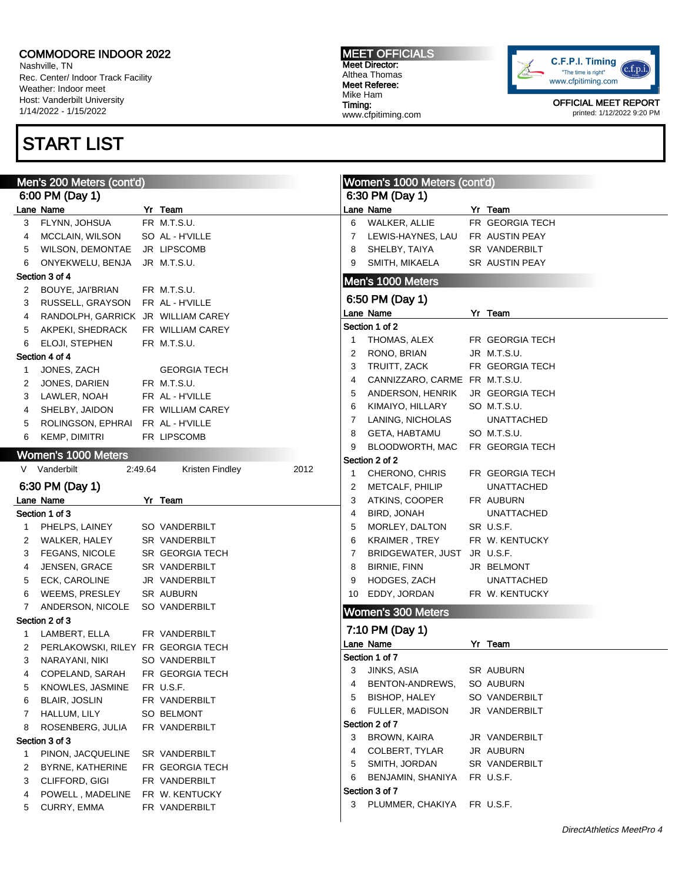Nashville, TN Rec. Center/ Indoor Track Facility Weather: Indoor meet Host: Vanderbilt University 1/14/2022 - 1/15/2022

## START LIST

MEET OFFICIALS Meet Director: Althea Thomas Meet Referee: Mike Ham Timing: www.cfpitiming.com



|   | Men's 200 Meters (cont'd)          |         |                         |    | Women's 1000 Meters (cont'd)  |  |                        |  |  |
|---|------------------------------------|---------|-------------------------|----|-------------------------------|--|------------------------|--|--|
|   | 6:00 PM (Day 1)                    |         |                         |    | 6:30 PM (Day 1)               |  |                        |  |  |
|   | Lane Name                          |         | Yr Team                 |    | Lane Name                     |  | Yr Team                |  |  |
| 3 | FLYNN, JOHSUA                      |         | FR M.T.S.U.             | 6  | WALKER, ALLIE                 |  | FR GEORGIA TECH        |  |  |
| 4 | MCCLAIN, WILSON                    |         | SO AL - H'VILLE         | 7  | LEWIS-HAYNES, LAU             |  | FR AUSTIN PEAY         |  |  |
| 5 | <b>WILSON, DEMONTAE</b>            |         | JR LIPSCOMB             | 8  | SHELBY, TAIYA                 |  | SR VANDERBILT          |  |  |
| 6 | ONYEKWELU, BENJA                   |         | JR M.T.S.U.             | 9  | SMITH, MIKAELA                |  | SR AUSTIN PEAY         |  |  |
|   | Section 3 of 4                     |         |                         |    | Men's 1000 Meters             |  |                        |  |  |
| 2 | BOUYE, JAI'BRIAN                   |         | FR M.T.S.U.             |    |                               |  |                        |  |  |
| 3 | RUSSELL, GRAYSON                   |         | FR AL - H'VILLE         |    | 6:50 PM (Day 1)               |  |                        |  |  |
| 4 | RANDOLPH, GARRICK JR WILLIAM CAREY |         |                         |    | Lane Name                     |  | Yr Team                |  |  |
| 5 | AKPEKI, SHEDRACK                   |         | FR WILLIAM CAREY        |    | Section 1 of 2                |  |                        |  |  |
| 6 | ELOJI, STEPHEN                     |         | FR M.T.S.U.             | 1  | THOMAS, ALEX                  |  | FR GEORGIA TECH        |  |  |
|   | Section 4 of 4                     |         |                         | 2  | RONO, BRIAN                   |  | JR M.T.S.U.            |  |  |
| 1 | JONES, ZACH                        |         | <b>GEORGIA TECH</b>     | 3  | TRUITT, ZACK                  |  | FR GEORGIA TECH        |  |  |
| 2 | JONES, DARIEN                      |         | FR M.T.S.U.             | 4  | CANNIZZARO, CARME FR M.T.S.U. |  |                        |  |  |
| 3 | LAWLER, NOAH                       |         | FR AL - H'VILLE         | 5  | ANDERSON, HENRIK              |  | <b>JR GEORGIA TECH</b> |  |  |
| 4 | SHELBY, JAIDON                     |         | FR WILLIAM CAREY        | 6  | KIMAIYO, HILLARY              |  | SO M.T.S.U.            |  |  |
| 5 | ROLINGSON, EPHRAI                  |         | FR AL - H'VILLE         | 7  | LANING, NICHOLAS              |  | <b>UNATTACHED</b>      |  |  |
| 6 | <b>KEMP, DIMITRI</b>               |         | FR LIPSCOMB             | 8  | <b>GETA, HABTAMU</b>          |  | SO M.T.S.U.            |  |  |
|   | Women's 1000 Meters                |         |                         | 9  | BLOODWORTH, MAC               |  | FR GEORGIA TECH        |  |  |
|   | V Vanderbilt                       | 2:49.64 | Kristen Findley<br>2012 |    | Section 2 of 2                |  |                        |  |  |
|   |                                    |         |                         | 1  | CHERONO, CHRIS                |  | FR GEORGIA TECH        |  |  |
|   | 6:30 PM (Day 1)                    |         |                         | 2  | METCALF, PHILIP               |  | <b>UNATTACHED</b>      |  |  |
|   | Lane Name                          |         | Yr Team                 | 3  | ATKINS, COOPER                |  | FR AUBURN              |  |  |
|   | Section 1 of 3                     |         |                         | 4  | BIRD, JONAH                   |  | <b>UNATTACHED</b>      |  |  |
| 1 | PHELPS, LAINEY                     |         | SO VANDERBILT           | 5  | MORLEY, DALTON                |  | SR U.S.F.              |  |  |
| 2 | WALKER, HALEY                      |         | SR VANDERBILT           | 6  | KRAIMER, TREY                 |  | FR W. KENTUCKY         |  |  |
| 3 | <b>FEGANS, NICOLE</b>              |         | SR GEORGIA TECH         | 7  | BRIDGEWATER, JUST             |  | JR U.S.F.              |  |  |
| 4 | <b>JENSEN, GRACE</b>               |         | SR VANDERBILT           | 8  | <b>BIRNIE, FINN</b>           |  | JR BELMONT             |  |  |
| 5 | ECK, CAROLINE                      |         | JR VANDERBILT           | 9  | HODGES, ZACH                  |  | UNATTACHED             |  |  |
| 6 | WEEMS, PRESLEY                     |         | SR AUBURN               | 10 | EDDY, JORDAN                  |  | FR W. KENTUCKY         |  |  |
| 7 | ANDERSON, NICOLE                   |         | SO VANDERBILT           |    | <b>Women's 300 Meters</b>     |  |                        |  |  |
|   | Section 2 of 3                     |         |                         |    | 7:10 PM (Day 1)               |  |                        |  |  |
| 1 | LAMBERT, ELLA                      |         | FR VANDERBILT           |    | Lane Name                     |  | Yr Team                |  |  |
| 2 | PERLAKOWSKI, RILEY FR GEORGIA TECH |         |                         |    | Section 1 of 7                |  |                        |  |  |
| 3 | NARAYANI, NIKI                     |         | SO VANDERBILT           |    | 3 JINKS, ASIA                 |  | SR AUBURN              |  |  |
| 4 | COPELAND, SARAH                    |         | FR GEORGIA TECH         | 4  | BENTON-ANDREWS,               |  | SO AUBURN              |  |  |
| 5 | KNOWLES, JASMINE                   |         | FR U.S.F.               | 5  | <b>BISHOP, HALEY</b>          |  | SO VANDERBILT          |  |  |
| 6 | <b>BLAIR, JOSLIN</b>               |         | FR VANDERBILT           | 6  | FULLER, MADISON               |  | JR VANDERBILT          |  |  |
| 7 | HALLUM, LILY                       |         | SO BELMONT              |    | Section 2 of 7                |  |                        |  |  |
| 8 | ROSENBERG, JULIA                   |         | FR VANDERBILT           | 3  | BROWN, KAIRA                  |  | JR VANDERBILT          |  |  |
|   | Section 3 of 3                     |         |                         | 4  | COLBERT, TYLAR                |  | JR AUBURN              |  |  |
| 1 | PINON, JACQUELINE                  |         | SR VANDERBILT           | 5  | SMITH, JORDAN                 |  | SR VANDERBILT          |  |  |
| 2 | BYRNE, KATHERINE                   |         | FR GEORGIA TECH         | 6  | BENJAMIN, SHANIYA             |  |                        |  |  |
| 3 | CLIFFORD, GIGI                     |         | FR VANDERBILT           |    | Section 3 of 7                |  | FR U.S.F.              |  |  |
| 4 | POWELL, MADELINE                   |         | FR W. KENTUCKY          |    | PLUMMER, CHAKIYA FR U.S.F.    |  |                        |  |  |
| 5 | CURRY, EMMA                        |         | FR VANDERBILT           | 3  |                               |  |                        |  |  |
|   |                                    |         |                         |    |                               |  |                        |  |  |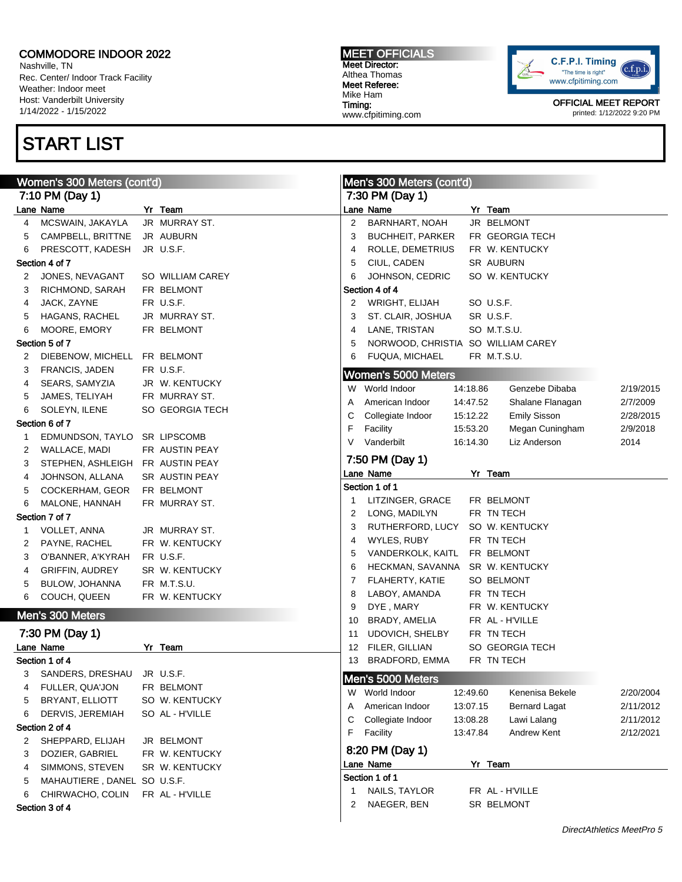Nashville, TN Rec. Center/ Indoor Track Facility Weather: Indoor meet Host: Vanderbilt University 1/14/2022 - 1/15/2022

## START LIST

MEET OFFICIALS Meet Director: Althea Thomas Meet Referee: Mike Ham Timing: www.cfpitiming.com



|   | Women's 300 Meters (cont'd)      |                  |    | Men's 300 Meters (cont'd)          |          |                      |           |
|---|----------------------------------|------------------|----|------------------------------------|----------|----------------------|-----------|
|   | 7:10 PM (Day 1)                  |                  |    | 7:30 PM (Day 1)                    |          |                      |           |
|   | Lane Name                        | Yr Team          |    | Lane Name                          |          | Yr Team              |           |
| 4 | MCSWAIN, JAKAYLA                 | JR MURRAY ST.    | 2  | <b>BARNHART, NOAH</b>              |          | JR BELMONT           |           |
| 5 | CAMPBELL, BRITTNE                | JR AUBURN        | 3  | <b>BUCHHEIT, PARKER</b>            |          | FR GEORGIA TECH      |           |
| 6 | PRESCOTT, KADESH                 | JR U.S.F.        | 4  | ROLLE, DEMETRIUS                   |          | FR W. KENTUCKY       |           |
|   | Section 4 of 7                   |                  | 5  | CIUL, CADEN                        |          | SR AUBURN            |           |
| 2 | JONES, NEVAGANT                  | SO WILLIAM CAREY | 6  | JOHNSON, CEDRIC                    |          | SO W. KENTUCKY       |           |
| 3 | RICHMOND, SARAH                  | FR BELMONT       |    | Section 4 of 4                     |          |                      |           |
| 4 | JACK, ZAYNE                      | FR U.S.F.        | 2  | <b>WRIGHT, ELIJAH</b>              |          | SO U.S.F.            |           |
| 5 | HAGANS, RACHEL                   | JR MURRAY ST.    | 3  | ST. CLAIR, JOSHUA                  |          | SR U.S.F.            |           |
| 6 | MOORE, EMORY                     | FR BELMONT       | 4  | LANE, TRISTAN                      |          | SO M.T.S.U.          |           |
|   | Section 5 of 7                   |                  | 5  | NORWOOD, CHRISTIA SO WILLIAM CAREY |          |                      |           |
| 2 | DIEBENOW, MICHELL FR BELMONT     |                  | 6  | FUQUA, MICHAEL                     |          | FR M.T.S.U.          |           |
| 3 | FRANCIS, JADEN                   | FR U.S.F.        |    | Women's 5000 Meters                |          |                      |           |
| 4 | SEARS, SAMYZIA                   | JR W. KENTUCKY   |    |                                    |          |                      |           |
| 5 | JAMES, TELIYAH                   | FR MURRAY ST.    |    | W World Indoor                     | 14:18.86 | Genzebe Dibaba       | 2/19/2015 |
| 6 | SOLEYN, ILENE                    | SO GEORGIA TECH  | A  | American Indoor                    | 14:47.52 | Shalane Flanagan     | 2/7/2009  |
|   | Section 6 of 7                   |                  | С  | Collegiate Indoor                  | 15:12.22 | <b>Emily Sisson</b>  | 2/28/2015 |
| 1 | EDMUNDSON, TAYLO SR LIPSCOMB     |                  | F  | Facility                           | 15:53.20 | Megan Cuningham      | 2/9/2018  |
| 2 | WALLACE, MADI                    | FR AUSTIN PEAY   | V  | Vanderbilt                         | 16:14.30 | Liz Anderson         | 2014      |
| 3 | STEPHEN, ASHLEIGH FR AUSTIN PEAY |                  |    | 7:50 PM (Day 1)                    |          |                      |           |
| 4 | JOHNSON, ALLANA                  | SR AUSTIN PEAY   |    | Lane Name                          |          | Yr Team              |           |
| 5 | COCKERHAM, GEOR                  | FR BELMONT       |    | Section 1 of 1                     |          |                      |           |
| 6 | MALONE, HANNAH                   | FR MURRAY ST.    | 1  | LITZINGER, GRACE                   |          | FR BELMONT           |           |
|   | Section 7 of 7                   |                  | 2  | LONG, MADILYN                      |          | FR TN TECH           |           |
| 1 | <b>VOLLET, ANNA</b>              | JR MURRAY ST.    | 3  | RUTHERFORD, LUCY                   |          | SO W. KENTUCKY       |           |
| 2 | PAYNE, RACHEL                    | FR W. KENTUCKY   | 4  | WYLES, RUBY                        |          | FR TN TECH           |           |
| 3 | O'BANNER, A'KYRAH                | FR U.S.F.        | 5  | VANDERKOLK, KAITL                  |          | FR BELMONT           |           |
| 4 | <b>GRIFFIN, AUDREY</b>           | SR W. KENTUCKY   | 6  | HECKMAN, SAVANNA                   |          | SR W. KENTUCKY       |           |
| 5 | BULOW, JOHANNA                   | FR M.T.S.U.      | 7  | FLAHERTY, KATIE                    |          | SO BELMONT           |           |
| 6 | COUCH, QUEEN                     | FR W. KENTUCKY   | 8  | LABOY, AMANDA                      |          | FR TN TECH           |           |
|   |                                  |                  | 9  | DYE, MARY                          |          | FR W. KENTUCKY       |           |
|   | Men's 300 Meters                 |                  | 10 | BRADY, AMELIA                      |          | FR AL - H'VILLE      |           |
|   | 7:30 PM (Day 1)                  |                  | 11 | UDOVICH, SHELBY                    |          | FR TN TECH           |           |
|   | Lane Name                        | Yr Team          | 12 | FILER, GILLIAN                     |          | SO GEORGIA TECH      |           |
|   | Section 1 of 4                   |                  | 13 | BRADFORD, EMMA                     |          | FR TN TECH           |           |
|   | 3 SANDERS, DRESHAU JR U.S.F.     |                  |    | Men's 5000 Meters                  |          |                      |           |
| 4 | FULLER, QUA'JON                  | FR BELMONT       |    | W World Indoor                     | 12:49.60 | Kenenisa Bekele      | 2/20/2004 |
| 5 | BRYANT, ELLIOTT                  | SO W. KENTUCKY   | A  | American Indoor                    | 13:07.15 | <b>Bernard Lagat</b> | 2/11/2012 |
| 6 | DERVIS, JEREMIAH                 | SO AL - H'VILLE  | С  | Collegiate Indoor                  | 13:08.28 | Lawi Lalang          | 2/11/2012 |
|   | Section 2 of 4                   |                  | F  | Facility                           | 13:47.84 | Andrew Kent          | 2/12/2021 |
| 2 | SHEPPARD, ELIJAH                 | JR BELMONT       |    |                                    |          |                      |           |
| 3 | DOZIER, GABRIEL                  | FR W. KENTUCKY   |    | 8:20 PM (Day 1)                    |          |                      |           |
| 4 | SIMMONS, STEVEN                  | SR W. KENTUCKY   |    | Lane Name                          |          | Yr Team              |           |
| 5 | MAHAUTIERE, DANEL SO U.S.F.      |                  |    | Section 1 of 1                     |          |                      |           |
| 6 | CHIRWACHO, COLIN                 | FR AL - H'VILLE  | 1  | NAILS, TAYLOR                      |          | FR AL - H'VILLE      |           |
|   | Section 3 of 4                   |                  | 2  | NAEGER, BEN                        |          | SR BELMONT           |           |
|   |                                  |                  |    |                                    |          |                      |           |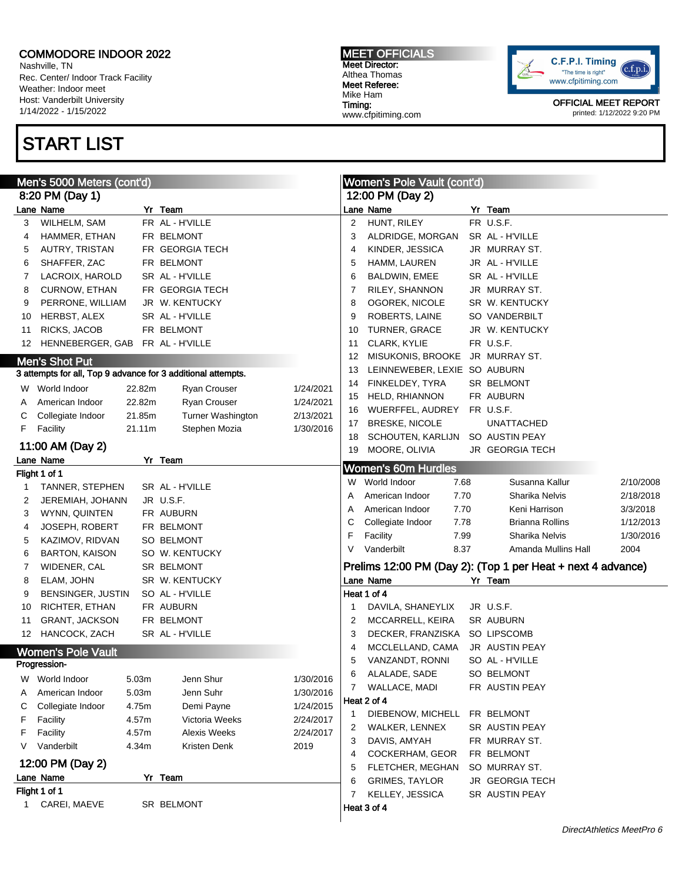Nashville, TN Rec. Center/ Indoor Track Facility Weather: Indoor meet Host: Vanderbilt University 1/14/2022 - 1/15/2022

## START LIST

MEET OFFICIALS Meet Director: Althea Thomas Meet Referee: Mike Ham Timing: www.cfpitiming.com



|        | Men's 5000 Meters (cont'd)                                   |        |                     |           | Women's Pole Vault (cont'd) |                              |      |                                                             |           |
|--------|--------------------------------------------------------------|--------|---------------------|-----------|-----------------------------|------------------------------|------|-------------------------------------------------------------|-----------|
|        | 8:20 PM (Day 1)                                              |        |                     |           |                             | 12:00 PM (Day 2)             |      |                                                             |           |
|        | Lane Name                                                    |        | Yr Team             |           |                             | Lane Name                    |      | Yr Team                                                     |           |
| 3      | WILHELM, SAM                                                 |        | FR AL - H'VILLE     |           | 2                           | HUNT, RILEY                  |      | FR U.S.F.                                                   |           |
| 4      | HAMMER, ETHAN                                                |        | FR BELMONT          |           | 3                           | ALDRIDGE, MORGAN             |      | SR AL - H'VILLE                                             |           |
| 5      | AUTRY, TRISTAN                                               |        | FR GEORGIA TECH     |           | 4                           | KINDER, JESSICA              |      | JR MURRAY ST.                                               |           |
| 6      | SHAFFER, ZAC                                                 |        | FR BELMONT          |           | 5                           | HAMM, LAUREN                 |      | JR AL - H'VILLE                                             |           |
| 7      | LACROIX, HAROLD                                              |        | SR AL - H'VILLE     |           | 6                           | BALDWIN, EMEE                |      | SR AL - H'VILLE                                             |           |
| 8      | CURNOW, ETHAN                                                |        | FR GEORGIA TECH     |           | 7                           | RILEY, SHANNON               |      | JR MURRAY ST.                                               |           |
| 9      | PERRONE, WILLIAM                                             |        | JR W. KENTUCKY      |           | 8                           | OGOREK, NICOLE               |      | SR W. KENTUCKY                                              |           |
| 10     | HERBST, ALEX                                                 |        | SR AL - H'VILLE     |           | 9                           | ROBERTS, LAINE               |      | SO VANDERBILT                                               |           |
| 11     | RICKS, JACOB                                                 |        | FR BELMONT          |           | 10                          | TURNER, GRACE                |      | JR W. KENTUCKY                                              |           |
| 12     | HENNEBERGER, GAB FR AL - H'VILLE                             |        |                     |           | 11                          | CLARK, KYLIE                 |      | FR U.S.F.                                                   |           |
|        | <b>Men's Shot Put</b>                                        |        |                     |           | 12                          | MISUKONIS, BROOKE            |      | JR MURRAY ST.                                               |           |
|        | 3 attempts for all, Top 9 advance for 3 additional attempts. |        |                     |           | 13                          | LEINNEWEBER, LEXIE SO AUBURN |      |                                                             |           |
|        | W World Indoor                                               | 22.82m | Ryan Crouser        | 1/24/2021 | 14                          | FINKELDEY, TYRA              |      | SR BELMONT                                                  |           |
|        | American Indoor                                              | 22.82m | Ryan Crouser        | 1/24/2021 | 15                          | <b>HELD, RHIANNON</b>        |      | FR AUBURN                                                   |           |
| A<br>С | Collegiate Indoor                                            | 21.85m | Turner Washington   | 2/13/2021 | 16                          | WUERFFEL, AUDREY             |      | FR U.S.F.                                                   |           |
| F      | Facility                                                     | 21.11m | Stephen Mozia       | 1/30/2016 | 17                          | <b>BRESKE, NICOLE</b>        |      | <b>UNATTACHED</b>                                           |           |
|        |                                                              |        |                     |           | 18                          | SCHOUTEN, KARLIJN            |      | SO AUSTIN PEAY                                              |           |
|        | 11:00 AM (Day 2)                                             |        |                     |           | 19                          | MOORE, OLIVIA                |      | JR GEORGIA TECH                                             |           |
|        | Lane Name                                                    |        | Yr Team             |           |                             | <b>Women's 60m Hurdles</b>   |      |                                                             |           |
|        | Flight 1 of 1                                                |        |                     |           |                             | W World Indoor               | 7.68 | Susanna Kallur                                              | 2/10/2008 |
| 1      | TANNER, STEPHEN                                              |        | SR AL - H'VILLE     |           | Α                           | American Indoor              | 7.70 | Sharika Nelvis                                              | 2/18/2018 |
| 2      | JEREMIAH, JOHANN                                             |        | JR U.S.F.           |           | Α                           | American Indoor              | 7.70 | Keni Harrison                                               | 3/3/2018  |
| 3      | WYNN, QUINTEN                                                |        | FR AUBURN           |           | С                           | Collegiate Indoor            | 7.78 | <b>Brianna Rollins</b>                                      | 1/12/2013 |
| 4      | <b>JOSEPH, ROBERT</b>                                        |        | FR BELMONT          |           | F                           | Facility                     | 7.99 | Sharika Nelvis                                              | 1/30/2016 |
| 5      | KAZIMOV, RIDVAN                                              |        | SO BELMONT          |           | V                           | Vanderbilt                   | 8.37 | Amanda Mullins Hall                                         | 2004      |
| 6      | <b>BARTON, KAISON</b>                                        |        | SO W. KENTUCKY      |           |                             |                              |      |                                                             |           |
| 7      | WIDENER, CAL                                                 |        | SR BELMONT          |           |                             |                              |      | Prelims 12:00 PM (Day 2): (Top 1 per Heat + next 4 advance) |           |
| 8      | ELAM, JOHN                                                   |        | SR W. KENTUCKY      |           |                             | Lane Name                    |      | Yr Team                                                     |           |
| 9      | BENSINGER, JUSTIN                                            |        | SO AL - H'VILLE     |           |                             | Heat 1 of 4                  |      |                                                             |           |
| 10     | RICHTER, ETHAN                                               |        | FR AUBURN           |           |                             | DAVILA, SHANEYLIX            |      | JR U.S.F.                                                   |           |
| 11     | <b>GRANT, JACKSON</b>                                        |        | FR BELMONT          |           | 2                           | MCCARRELL, KEIRA             |      | SR AUBURN                                                   |           |
| 12     | HANCOCK, ZACH                                                |        | SR AL - H'VILLE     |           | 3                           | DECKER, FRANZISKA            |      | SO LIPSCOMB                                                 |           |
|        | <b>Women's Pole Vault</b>                                    |        |                     |           | 4                           | MCCLELLAND, CAMA             |      | JR AUSTIN PEAY                                              |           |
|        | Progression-                                                 |        |                     |           | 5                           | VANZANDT, RONNI              |      | SO AL - H'VILLE                                             |           |
|        | W World Indoor                                               | 5.03m  | Jenn Shur           | 1/30/2016 | 6                           | ALALADE, SADE                |      | SO BELMONT                                                  |           |
| Α      | American Indoor                                              | 5.03m  | Jenn Suhr           | 1/30/2016 | 7                           | WALLACE, MADI                |      | FR AUSTIN PEAY                                              |           |
| С      | Collegiate Indoor                                            | 4.75m  | Demi Payne          | 1/24/2015 |                             | Heat 2 of 4                  |      |                                                             |           |
| F      | Facility                                                     | 4.57m  | Victoria Weeks      | 2/24/2017 | 1                           | DIEBENOW, MICHELL            |      | FR BELMONT                                                  |           |
| F      | Facility                                                     | 4.57m  | <b>Alexis Weeks</b> | 2/24/2017 | 2                           | WALKER, LENNEX               |      | SR AUSTIN PEAY                                              |           |
| V      | Vanderbilt                                                   | 4.34m  | Kristen Denk        | 2019      | 3                           | DAVIS, AMYAH                 |      | FR MURRAY ST.                                               |           |
|        | 12:00 PM (Day 2)                                             |        |                     |           | 4                           | COCKERHAM, GEOR              |      | FR BELMONT                                                  |           |
|        | Lane Name                                                    |        | Yr Team             |           | 5                           | FLETCHER, MEGHAN             |      | SO MURRAY ST.                                               |           |
|        | Flight 1 of 1                                                |        |                     |           | 6                           | <b>GRIMES, TAYLOR</b>        |      | <b>JR GEORGIA TECH</b>                                      |           |
| 1      | CAREI, MAEVE                                                 |        | SR BELMONT          |           | 7                           | KELLEY, JESSICA              |      | SR AUSTIN PEAY                                              |           |
|        |                                                              |        |                     |           |                             | Heat 3 of 4                  |      |                                                             |           |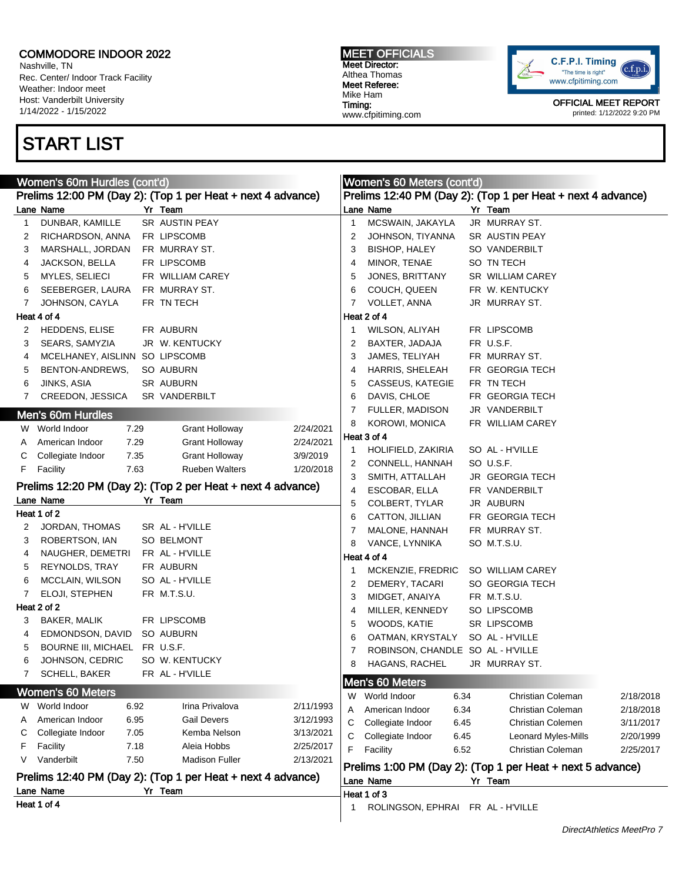Nashville, TN Rec. Center/ Indoor Track Facility Weather: Indoor meet Host: Vanderbilt University 1/14/2022 - 1/15/2022

# START LIST

MEET OFFICIALS Meet Director: Althea Thomas Meet Referee: Mike Ham Timing: www.cfpitiming.com



|                                                               | Women's 60m Hurdles (cont'd)                                |  |                                                             |           |                                                            | Women's 60 Meters (cont'd)        |  |                                                             |           |  |
|---------------------------------------------------------------|-------------------------------------------------------------|--|-------------------------------------------------------------|-----------|------------------------------------------------------------|-----------------------------------|--|-------------------------------------------------------------|-----------|--|
|                                                               |                                                             |  | Prelims 12:00 PM (Day 2): (Top 1 per Heat + next 4 advance) |           |                                                            |                                   |  | Prelims 12:40 PM (Day 2): (Top 1 per Heat + next 4 advance) |           |  |
|                                                               | Lane Name                                                   |  | Yr Team                                                     |           |                                                            | Lane Name                         |  | Yr Team                                                     |           |  |
| 1                                                             | DUNBAR, KAMILLE                                             |  | SR AUSTIN PEAY                                              |           | 1                                                          | MCSWAIN, JAKAYLA                  |  | JR MURRAY ST.                                               |           |  |
| 2                                                             | RICHARDSON, ANNA                                            |  | FR LIPSCOMB                                                 |           | 2                                                          | JOHNSON, TIYANNA                  |  | SR AUSTIN PEAY                                              |           |  |
| 3                                                             | MARSHALL, JORDAN                                            |  | FR MURRAY ST.                                               |           | 3                                                          | BISHOP, HALEY                     |  | SO VANDERBILT                                               |           |  |
| 4                                                             | JACKSON, BELLA                                              |  | FR LIPSCOMB                                                 |           | 4                                                          | MINOR, TENAE                      |  | SO TN TECH                                                  |           |  |
| 5                                                             | MYLES, SELIECI                                              |  | FR WILLIAM CAREY                                            |           | 5                                                          | JONES, BRITTANY                   |  | SR WILLIAM CAREY                                            |           |  |
| 6                                                             | SEEBERGER, LAURA                                            |  | FR MURRAY ST.                                               |           | 6                                                          | COUCH, QUEEN                      |  | FR W. KENTUCKY                                              |           |  |
| 7                                                             | JOHNSON, CAYLA                                              |  | FR TN TECH                                                  |           | 7                                                          | VOLLET, ANNA                      |  | JR MURRAY ST.                                               |           |  |
|                                                               | Heat 4 of 4                                                 |  |                                                             |           |                                                            | Heat 2 of 4                       |  |                                                             |           |  |
| 2                                                             | HEDDENS, ELISE                                              |  | FR AUBURN                                                   |           | 1                                                          | WILSON, ALIYAH                    |  | FR LIPSCOMB                                                 |           |  |
| 3                                                             | SEARS, SAMYZIA                                              |  | JR W. KENTUCKY                                              |           | 2                                                          | BAXTER, JADAJA                    |  | FR U.S.F.                                                   |           |  |
| 4                                                             | MCELHANEY, AISLINN SO LIPSCOMB                              |  |                                                             |           | 3                                                          | JAMES, TELIYAH                    |  | FR MURRAY ST.                                               |           |  |
| 5                                                             | BENTON-ANDREWS,                                             |  | SO AUBURN                                                   |           | 4                                                          | HARRIS, SHELEAH                   |  | FR GEORGIA TECH                                             |           |  |
| 6                                                             | JINKS, ASIA                                                 |  | SR AUBURN                                                   |           | 5                                                          | CASSEUS, KATEGIE                  |  | FR TN TECH                                                  |           |  |
| 7                                                             | CREEDON, JESSICA                                            |  | SR VANDERBILT                                               |           | 6                                                          | DAVIS, CHLOE                      |  | FR GEORGIA TECH                                             |           |  |
|                                                               |                                                             |  |                                                             |           | 7                                                          | FULLER, MADISON                   |  | JR VANDERBILT                                               |           |  |
|                                                               | Men's 60m Hurdles                                           |  |                                                             |           | 8                                                          | KOROWI, MONICA                    |  | FR WILLIAM CAREY                                            |           |  |
|                                                               | W World Indoor<br>7.29                                      |  | <b>Grant Holloway</b>                                       | 2/24/2021 |                                                            | Heat 3 of 4                       |  |                                                             |           |  |
| A                                                             | American Indoor<br>7.29                                     |  | <b>Grant Holloway</b>                                       | 2/24/2021 | 1                                                          | HOLIFIELD, ZAKIRIA                |  | SO AL - H'VILLE                                             |           |  |
| C                                                             | Collegiate Indoor<br>7.35                                   |  | <b>Grant Holloway</b>                                       | 3/9/2019  | 2                                                          | CONNELL, HANNAH                   |  | SO U.S.F.                                                   |           |  |
| F.                                                            | Facility<br>7.63                                            |  | <b>Rueben Walters</b>                                       | 1/20/2018 | 3                                                          | SMITH, ATTALLAH                   |  | JR GEORGIA TECH                                             |           |  |
|                                                               | Prelims 12:20 PM (Day 2): (Top 2 per Heat + next 4 advance) |  |                                                             |           |                                                            | ESCOBAR, ELLA                     |  | FR VANDERBILT                                               |           |  |
|                                                               | Lane Name                                                   |  | Yr Team                                                     |           | 4<br>5                                                     | COLBERT, TYLAR                    |  | JR AUBURN                                                   |           |  |
|                                                               | Heat 1 of 2                                                 |  |                                                             |           | 6                                                          | CATTON, JILLIAN                   |  | FR GEORGIA TECH                                             |           |  |
| 2                                                             | JORDAN, THOMAS                                              |  | SR AL - H'VILLE                                             |           | 7                                                          | MALONE, HANNAH                    |  | FR MURRAY ST.                                               |           |  |
| 3                                                             | ROBERTSON, IAN                                              |  | SO BELMONT                                                  |           | 8                                                          | VANCE, LYNNIKA                    |  | SO M.T.S.U.                                                 |           |  |
| 4                                                             | NAUGHER, DEMETRI                                            |  | FR AL - H'VILLE                                             |           |                                                            | Heat 4 of 4                       |  |                                                             |           |  |
| 5                                                             | REYNOLDS, TRAY                                              |  | FR AUBURN                                                   |           | 1                                                          | MCKENZIE, FREDRIC                 |  | SO WILLIAM CAREY                                            |           |  |
| 6                                                             | MCCLAIN, WILSON                                             |  | SO AL - H'VILLE                                             |           | 2                                                          | DEMERY, TACARI                    |  | SO GEORGIA TECH                                             |           |  |
| 7                                                             | ELOJI, STEPHEN                                              |  | FR M.T.S.U.                                                 |           | 3                                                          | MIDGET, ANAIYA                    |  | FR M.T.S.U.                                                 |           |  |
|                                                               | Heat 2 of 2                                                 |  |                                                             |           | 4                                                          | MILLER, KENNEDY                   |  | SO LIPSCOMB                                                 |           |  |
| З                                                             | BAKER, MALIK                                                |  | FR LIPSCOMB                                                 |           | 5                                                          | WOODS, KATIE                      |  | SR LIPSCOMB                                                 |           |  |
| 4                                                             | EDMONDSON, DAVID                                            |  | SO AUBURN                                                   |           | 6                                                          | OATMAN, KRYSTALY                  |  | SO AL - H'VILLE                                             |           |  |
| 5                                                             | <b>BOURNE III, MICHAEL</b>                                  |  | FR U.S.F.                                                   |           | 7                                                          | ROBINSON, CHANDLE SO AL - H'VILLE |  |                                                             |           |  |
| 6                                                             | JOHNSON, CEDRIC                                             |  | SO W. KENTUCKY                                              |           | 8                                                          | HAGANS, RACHEL                    |  | JR MURRAY ST.                                               |           |  |
| 7                                                             | SCHELL, BAKER                                               |  | FR AL - H'VILLE                                             |           |                                                            |                                   |  |                                                             |           |  |
|                                                               |                                                             |  |                                                             |           |                                                            | Men's 60 Meters                   |  |                                                             |           |  |
|                                                               | <b>Women's 60 Meters</b>                                    |  |                                                             |           | W                                                          | World Indoor<br>6.34              |  | Christian Coleman                                           | 2/18/2018 |  |
| W                                                             | World Indoor<br>6.92                                        |  | Irina Privalova                                             | 2/11/1993 | Α                                                          | American Indoor<br>6.34           |  | Christian Coleman                                           | 2/18/2018 |  |
| Α                                                             | 6.95<br>American Indoor                                     |  | <b>Gail Devers</b>                                          | 3/12/1993 | C                                                          | Collegiate Indoor<br>6.45         |  | <b>Christian Colemen</b>                                    | 3/11/2017 |  |
| С                                                             | Collegiate Indoor<br>7.05                                   |  | Kemba Nelson                                                | 3/13/2021 | С                                                          | Collegiate Indoor<br>6.45         |  | Leonard Myles-Mills                                         | 2/20/1999 |  |
| F                                                             | Facility<br>7.18                                            |  | Aleia Hobbs                                                 | 2/25/2017 | F                                                          | 6.52<br>Facility                  |  | Christian Coleman                                           | 2/25/2017 |  |
| Vanderbilt<br>7.50<br><b>Madison Fuller</b><br>2/13/2021<br>V |                                                             |  |                                                             |           | Prelims 1:00 PM (Day 2): (Top 1 per Heat + next 5 advance) |                                   |  |                                                             |           |  |
|                                                               | Prelims 12:40 PM (Day 2): (Top 1 per Heat + next 4 advance) |  |                                                             |           | Lane Name<br>Yr Team                                       |                                   |  |                                                             |           |  |
|                                                               | Lane Name                                                   |  | Yr Team                                                     |           |                                                            | Heat 1 of 3                       |  |                                                             |           |  |
|                                                               | Heat 1 of 4                                                 |  |                                                             |           | 1                                                          | ROLINGSON, EPHRAI FR AL - H'VILLE |  |                                                             |           |  |
|                                                               |                                                             |  |                                                             |           |                                                            |                                   |  |                                                             |           |  |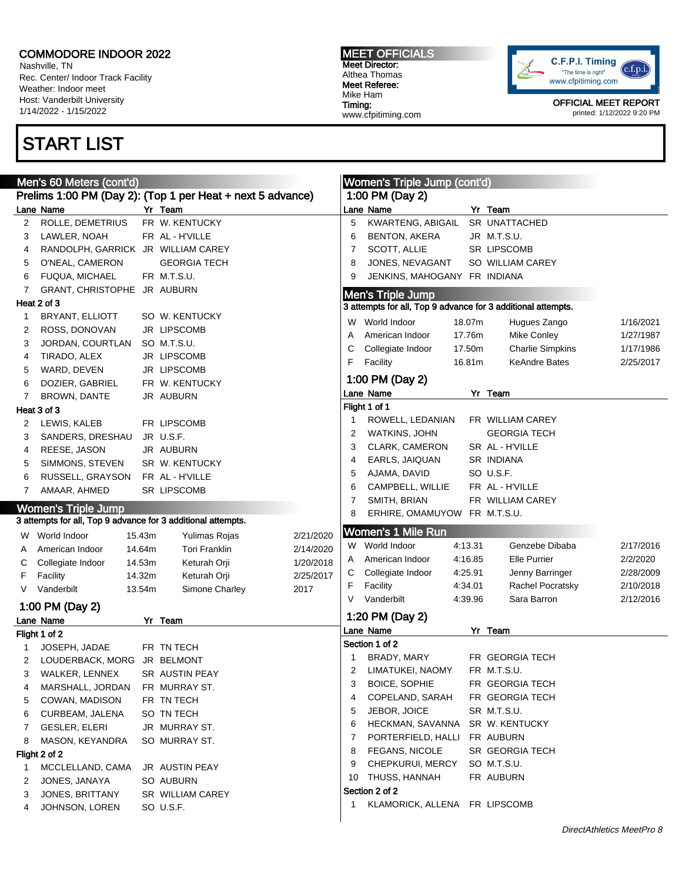Nashville, TN Rec. Center/ Indoor Track Facility Weather: Indoor meet Host: Vanderbilt University 1/14/2022 - 1/15/2022

## START LIST

MEET OFFICIALS Meet Director: Althea Thomas Meet Referee: Mike Ham Timing: www.cfpitiming.com



|    | Men's 60 Meters (cont'd)                                     |                                                            | Women's Triple Jump (cont'd) |   |                                                              |         |                         |           |
|----|--------------------------------------------------------------|------------------------------------------------------------|------------------------------|---|--------------------------------------------------------------|---------|-------------------------|-----------|
|    |                                                              | Prelims 1:00 PM (Day 2): (Top 1 per Heat + next 5 advance) |                              |   | 1:00 PM (Day 2)                                              |         |                         |           |
|    | Lane Name                                                    | Yr Team                                                    |                              |   | Lane Name                                                    |         | Yr Team                 |           |
| 2  | ROLLE, DEMETRIUS                                             | FR W. KENTUCKY                                             |                              | 5 | KWARTENG, ABIGAIL                                            |         | SR UNATTACHED           |           |
| 3  | LAWLER, NOAH                                                 | FR AL - H'VILLE                                            |                              | 6 | <b>BENTON, AKERA</b>                                         |         | JR M.T.S.U.             |           |
| 4  | RANDOLPH, GARRICK JR WILLIAM CAREY                           |                                                            |                              | 7 | <b>SCOTT, ALLIE</b>                                          |         | SR LIPSCOMB             |           |
| 5  | O'NEAL, CAMERON                                              | <b>GEORGIA TECH</b>                                        |                              | 8 | JONES, NEVAGANT                                              |         | SO WILLIAM CAREY        |           |
| 6  | <b>FUQUA, MICHAEL</b>                                        | FR M.T.S.U.                                                |                              | 9 | JENKINS, MAHOGANY FR INDIANA                                 |         |                         |           |
| 7  | GRANT, CHRISTOPHE JR AUBURN                                  |                                                            |                              |   | <b>Men's Triple Jump</b>                                     |         |                         |           |
|    | Heat 2 of 3                                                  |                                                            |                              |   | 3 attempts for all, Top 9 advance for 3 additional attempts. |         |                         |           |
| 1  | BRYANT, ELLIOTT                                              | SO W. KENTUCKY                                             |                              |   | W World Indoor                                               | 18.07m  | Hugues Zango            | 1/16/2021 |
| 2  | ROSS, DONOVAN                                                | JR LIPSCOMB                                                |                              |   |                                                              |         |                         |           |
| 3  | JORDAN, COURTLAN                                             | SO M.T.S.U.                                                |                              | Α | American Indoor                                              | 17.76m  | Mike Conley             | 1/27/1987 |
| 4  | TIRADO, ALEX                                                 | JR LIPSCOMB                                                |                              | С | Collegiate Indoor                                            | 17.50m  | <b>Charlie Simpkins</b> | 1/17/1986 |
| 5  | WARD, DEVEN                                                  | JR LIPSCOMB                                                |                              | F | Facility                                                     | 16.81m  | <b>KeAndre Bates</b>    | 2/25/2017 |
| 6  | DOZIER, GABRIEL                                              | FR W. KENTUCKY                                             |                              |   | 1:00 PM (Day 2)                                              |         |                         |           |
| 7  | <b>BROWN, DANTE</b>                                          | JR AUBURN                                                  |                              |   | Lane Name                                                    |         | Yr Team                 |           |
|    | Heat 3 of 3                                                  |                                                            |                              |   | Flight 1 of 1                                                |         |                         |           |
| 2  | LEWIS, KALEB                                                 | FR LIPSCOMB                                                |                              |   | ROWELL, LEDANIAN                                             |         | FR WILLIAM CAREY        |           |
| 3  | SANDERS, DRESHAU                                             | JR U.S.F.                                                  |                              | 2 | WATKINS, JOHN                                                |         | <b>GEORGIA TECH</b>     |           |
| 4  | REESE, JASON                                                 | JR AUBURN                                                  |                              | 3 | CLARK, CAMERON                                               |         | SR AL - H'VILLE         |           |
| 5  | SIMMONS, STEVEN                                              | SR W. KENTUCKY                                             |                              | 4 | EARLS, JAIQUAN                                               |         | SR INDIANA              |           |
| 6  | RUSSELL, GRAYSON                                             | FR AL - H'VILLE                                            |                              | 5 | AJAMA, DAVID                                                 |         | SO U.S.F.               |           |
| 7  | AMAAR, AHMED                                                 | SR LIPSCOMB                                                |                              | 6 | CAMPBELL, WILLIE                                             |         | FR AL - H'VILLE         |           |
|    |                                                              |                                                            |                              | 7 | SMITH, BRIAN                                                 |         | FR WILLIAM CAREY        |           |
|    | <b>Women's Triple Jump</b>                                   |                                                            |                              | 8 | ERHIRE, OMAMUYOW FR M.T.S.U.                                 |         |                         |           |
|    | 3 attempts for all, Top 9 advance for 3 additional attempts. |                                                            |                              |   | <b>Women's 1 Mile Run</b>                                    |         |                         |           |
|    | W World Indoor<br>15.43m                                     | Yulimas Rojas                                              | 2/21/2020                    |   |                                                              |         |                         |           |
| A  | 14.64m<br>American Indoor                                    | <b>Tori Franklin</b>                                       | 2/14/2020                    |   | W World Indoor                                               | 4:13.31 | Genzebe Dibaba          | 2/17/2016 |
| С  | 14.53m<br>Collegiate Indoor                                  | Keturah Orji                                               | 1/20/2018                    | A | American Indoor                                              | 4:16.85 | Elle Purrier            | 2/2/2020  |
| F  | 14.32m<br>Facility                                           | Keturah Orji                                               | 2/25/2017                    | С | Collegiate Indoor                                            | 4:25.91 | Jenny Barringer         | 2/28/2009 |
| V  | Vanderbilt<br>13.54m                                         | Simone Charley                                             | 2017                         | F | Facility                                                     | 4:34.01 | Rachel Pocratsky        | 2/10/2018 |
|    | 1:00 PM (Day 2)                                              |                                                            |                              |   | Vanderbilt                                                   | 4:39.96 | Sara Barron             | 2/12/2016 |
|    | Lane Name                                                    | Yr Team                                                    |                              |   | 1:20 PM (Day 2)                                              |         |                         |           |
|    | Flight 1 of 2                                                |                                                            |                              |   | Lane Name                                                    |         | Yr Team                 |           |
| 1  | JOSEPH, JADAE                                                | FR TN TECH                                                 |                              |   | Section 1 of 2                                               |         |                         |           |
| 2  | LOUDERBACK, MORG JR BELMONT                                  |                                                            |                              | 1 | BRADY, MARY                                                  |         | FR GEORGIA TECH         |           |
| 3. | WALKER, LENNEX                                               | SR AUSTIN PEAY                                             |                              | 2 | LIMATUKEI, NAOMY                                             |         | FR M.T.S.U.             |           |
| 4  | MARSHALL, JORDAN                                             | FR MURRAY ST.                                              |                              | 3 | BOICE, SOPHIE                                                |         | FR GEORGIA TECH         |           |
| 5  | COWAN, MADISON                                               | FR TN TECH                                                 |                              | 4 | COPELAND, SARAH                                              |         | FR GEORGIA TECH         |           |
| 6  | CURBEAM, JALENA                                              | SO TN TECH                                                 |                              | 5 | JEBOR, JOICE                                                 |         | SR M.T.S.U.             |           |
| 7  | <b>GESLER, ELERI</b>                                         | JR MURRAY ST.                                              |                              | 6 | HECKMAN, SAVANNA                                             |         | SR W. KENTUCKY          |           |
| 8  | MASON, KEYANDRA                                              | SO MURRAY ST.                                              |                              | 7 | PORTERFIELD, HALLI                                           |         | FR AUBURN               |           |
|    | Flight 2 of 2                                                |                                                            |                              | 8 | <b>FEGANS, NICOLE</b>                                        |         | SR GEORGIA TECH         |           |
| 1  | MCCLELLAND, CAMA                                             | JR AUSTIN PEAY                                             |                              | 9 | CHEPKURUI, MERCY                                             |         | SO M.T.S.U.             |           |
| 2  | JONES, JANAYA                                                | SO AUBURN                                                  |                              |   | 10 THUSS, HANNAH                                             |         | FR AUBURN               |           |
| 3  | JONES, BRITTANY                                              | SR WILLIAM CAREY                                           |                              |   | Section 2 of 2                                               |         |                         |           |
| 4  | JOHNSON, LOREN                                               | SO U.S.F.                                                  |                              | 1 | KLAMORICK, ALLENA FR LIPSCOMB                                |         |                         |           |
|    |                                                              |                                                            |                              |   |                                                              |         |                         |           |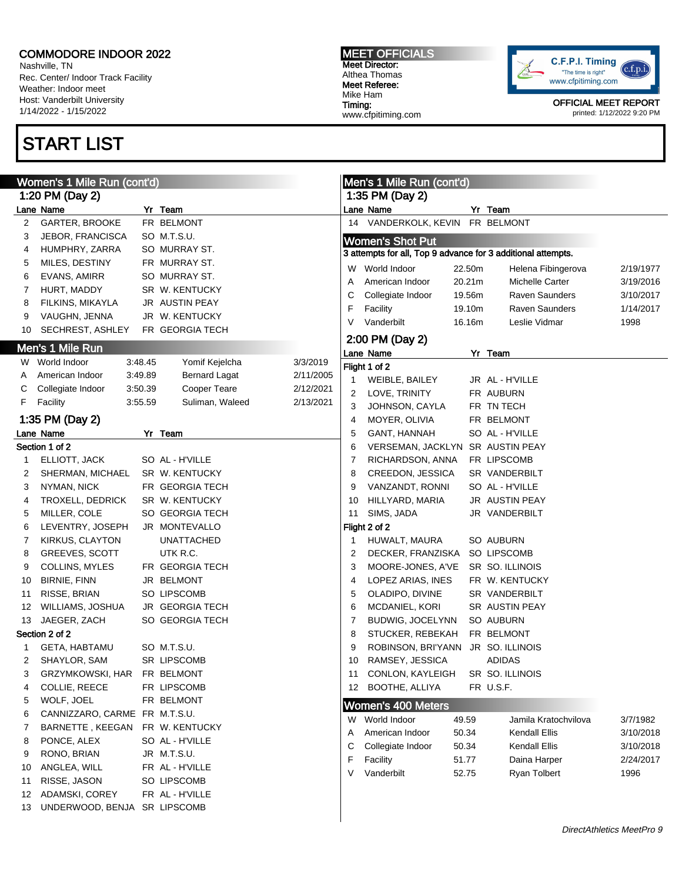Nashville, TN Rec. Center/ Indoor Track Facility Weather: Indoor meet Host: Vanderbilt University 1/14/2022 - 1/15/2022

## START LIST

MEET OFFICIALS Meet Director: Althea Thomas Meet Referee: Mike Ham Timing: www.cfpitiming.com



|    | Women's 1 Mile Run (cont'd)   |         |                        |           |    | Men's 1 Mile Run (cont'd)                                    |        |                       |           |
|----|-------------------------------|---------|------------------------|-----------|----|--------------------------------------------------------------|--------|-----------------------|-----------|
|    | 1:20 PM (Day 2)               |         |                        |           |    | 1:35 PM (Day 2)                                              |        |                       |           |
|    | Lane Name                     |         | Yr Team                |           |    | Lane Name                                                    |        | Yr Team               |           |
| 2  | GARTER, BROOKE                |         | FR BELMONT             |           | 14 | VANDERKOLK, KEVIN FR BELMONT                                 |        |                       |           |
| 3  | JEBOR, FRANCISCA              |         | SO M.T.S.U.            |           |    | <b>Women's Shot Put</b>                                      |        |                       |           |
| 4  | HUMPHRY, ZARRA                |         | SO MURRAY ST.          |           |    | 3 attempts for all, Top 9 advance for 3 additional attempts. |        |                       |           |
| 5  | MILES, DESTINY                |         | FR MURRAY ST.          |           | W  | World Indoor                                                 | 22.50m | Helena Fibingerova    | 2/19/1977 |
| 6  | EVANS, AMIRR                  |         | SO MURRAY ST.          |           | A  | American Indoor                                              | 20.21m | Michelle Carter       | 3/19/2016 |
| 7  | HURT, MADDY                   |         | SR W. KENTUCKY         |           | С  | Collegiate Indoor                                            | 19.56m | <b>Raven Saunders</b> | 3/10/2017 |
| 8  | FILKINS, MIKAYLA              |         | JR AUSTIN PEAY         |           | F  | Facility                                                     | 19.10m | <b>Raven Saunders</b> | 1/14/2017 |
| 9  | VAUGHN, JENNA                 |         | JR W. KENTUCKY         |           | V  | Vanderbilt                                                   | 16.16m | Leslie Vidmar         | 1998      |
| 10 | SECHREST, ASHLEY              |         | FR GEORGIA TECH        |           |    |                                                              |        |                       |           |
|    | Men's 1 Mile Run              |         |                        |           |    | 2:00 PM (Day 2)                                              |        |                       |           |
|    | W World Indoor                | 3:48.45 | Yomif Kejelcha         | 3/3/2019  |    | Lane Name                                                    |        | Yr Team               |           |
| A  | American Indoor               | 3:49.89 | <b>Bernard Lagat</b>   | 2/11/2005 |    | Flight 1 of 2                                                |        |                       |           |
| С  | Collegiate Indoor             | 3:50.39 | Cooper Teare           | 2/12/2021 | 1  | WEIBLE, BAILEY                                               |        | JR AL - H'VILLE       |           |
| F. | Facility                      | 3:55.59 | Suliman, Waleed        | 2/13/2021 | 2  | LOVE, TRINITY                                                |        | FR AUBURN             |           |
|    |                               |         |                        |           | 3  | JOHNSON, CAYLA                                               |        | FR TN TECH            |           |
|    | 1:35 PM (Day 2)               |         |                        |           | 4  | MOYER, OLIVIA                                                |        | FR BELMONT            |           |
|    | Lane Name                     |         | Yr Team                |           | 5  | GANT, HANNAH                                                 |        | SO AL - H'VILLE       |           |
|    | Section 1 of 2                |         |                        |           | 6  | VERSEMAN, JACKLYN SR AUSTIN PEAY                             |        |                       |           |
| 1  | ELLIOTT, JACK                 |         | SO AL - H'VILLE        |           | 7  | RICHARDSON, ANNA                                             |        | FR LIPSCOMB           |           |
| 2  | SHERMAN, MICHAEL              |         | SR W. KENTUCKY         |           | 8  | CREEDON, JESSICA                                             |        | SR VANDERBILT         |           |
| 3  | NYMAN, NICK                   |         | FR GEORGIA TECH        |           | 9  | VANZANDT, RONNI                                              |        | SO AL - H'VILLE       |           |
| 4  | TROXELL, DEDRICK              |         | SR W. KENTUCKY         |           | 10 | HILLYARD, MARIA                                              |        | JR AUSTIN PEAY        |           |
| 5  | MILLER, COLE                  |         | SO GEORGIA TECH        |           | 11 | SIMS, JADA                                                   |        | JR VANDERBILT         |           |
| 6  | LEVENTRY, JOSEPH              |         | JR MONTEVALLO          |           |    | Flight 2 of 2                                                |        |                       |           |
| 7  | KIRKUS, CLAYTON               |         | <b>UNATTACHED</b>      |           | 1  | HUWALT, MAURA                                                |        | SO AUBURN             |           |
| 8  | GREEVES, SCOTT                |         | UTK R.C.               |           | 2  | DECKER, FRANZISKA SO LIPSCOMB                                |        |                       |           |
| 9  | COLLINS, MYLES                |         | FR GEORGIA TECH        |           | 3  | MOORE-JONES, A'VE                                            |        | SR SO. ILLINOIS       |           |
| 10 | <b>BIRNIE, FINN</b>           |         | JR BELMONT             |           | 4  | LOPEZ ARIAS, INES                                            |        | FR W. KENTUCKY        |           |
| 11 | RISSE, BRIAN                  |         | SO LIPSCOMB            |           | 5  | OLADIPO, DIVINE                                              |        | SR VANDERBILT         |           |
| 12 | WILLIAMS, JOSHUA              |         | <b>JR GEORGIA TECH</b> |           | 6  | MCDANIEL, KORI                                               |        | SR AUSTIN PEAY        |           |
| 13 | JAEGER, ZACH                  |         | SO GEORGIA TECH        |           | 7  | BUDWIG, JOCELYNN                                             |        | SO AUBURN             |           |
|    | Section 2 of 2                |         |                        |           | 8  | STUCKER, REBEKAH                                             |        | FR BELMONT            |           |
| 1  | GETA, HABTAMU                 |         | SO M.T.S.U.            |           | 9  | ROBINSON, BRI'YANN JR SO. ILLINOIS                           |        |                       |           |
| 2  | SHAYLOR, SAM                  |         | SR LIPSCOMB            |           | 10 | RAMSEY, JESSICA                                              |        | <b>ADIDAS</b>         |           |
| 3  | GRZYMKOWSKI, HAR              |         | FR BELMONT             |           | 11 | CONLON, KAYLEIGH                                             |        | SR SO. ILLINOIS       |           |
| 4  | COLLIE, REECE                 |         | FR LIPSCOMB            |           |    | 12 BOOTHE, ALLIYA                                            |        | FR U.S.F.             |           |
| 5  | WOLF, JOEL                    |         | FR BELMONT             |           |    | <b>Women's 400 Meters</b>                                    |        |                       |           |
| 6  | CANNIZZARO, CARME FR M.T.S.U. |         |                        |           | W  | World Indoor                                                 | 49.59  | Jamila Kratochvilova  | 3/7/1982  |
| 7  | BARNETTE, KEEGAN              |         | FR W. KENTUCKY         |           | Α  | American Indoor                                              | 50.34  | Kendall Ellis         | 3/10/2018 |
| 8  | PONCE, ALEX                   |         | SO AL - H'VILLE        |           | С  | Collegiate Indoor                                            | 50.34  | Kendall Ellis         | 3/10/2018 |
| 9  | RONO, BRIAN                   |         | JR M.T.S.U.            |           | F  | Facility                                                     | 51.77  | Daina Harper          | 2/24/2017 |
| 10 | ANGLEA, WILL                  |         | FR AL - H'VILLE        |           | V  | Vanderbilt                                                   | 52.75  | Ryan Tolbert          | 1996      |
| 11 | RISSE, JASON                  |         | SO LIPSCOMB            |           |    |                                                              |        |                       |           |
| 12 | ADAMSKI, COREY                |         | FR AL - H'VILLE        |           |    |                                                              |        |                       |           |
| 13 | UNDERWOOD, BENJA SR LIPSCOMB  |         |                        |           |    |                                                              |        |                       |           |
|    |                               |         |                        |           |    |                                                              |        |                       |           |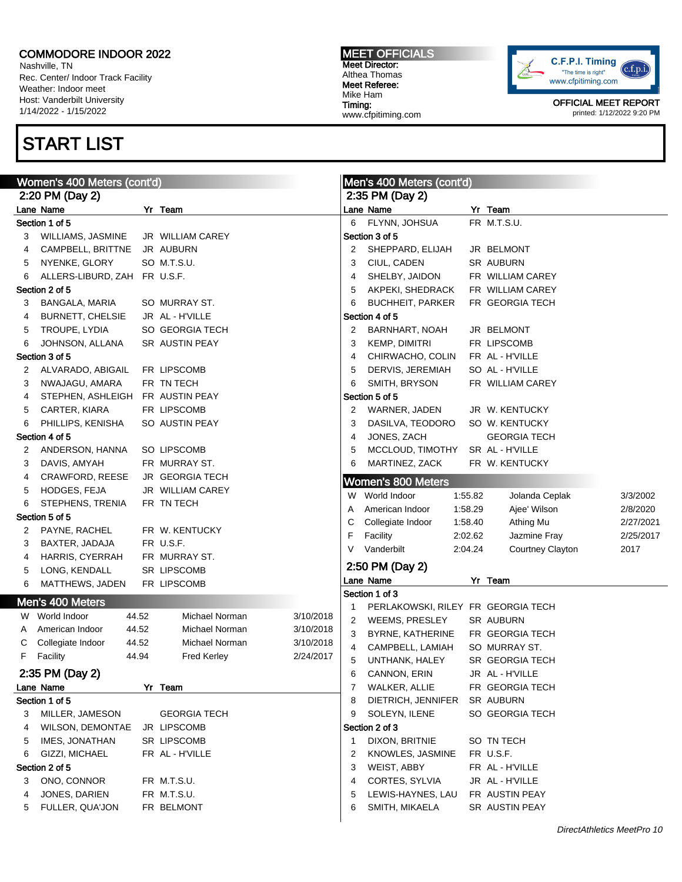Nashville, TN Rec. Center/ Indoor Track Facility Weather: Indoor meet Host: Vanderbilt University 1/14/2022 - 1/15/2022

## START LIST

MEET OFFICIALS Meet Director: Althea Thomas Meet Referee: Mike Ham Timing: www.cfpitiming.com



|    | Women's 400 Meters (cont'd)  |       |                        |           |        | Men's 400 Meters (cont'd)          |                    |                                |           |  |
|----|------------------------------|-------|------------------------|-----------|--------|------------------------------------|--------------------|--------------------------------|-----------|--|
|    | 2:20 PM (Day 2)              |       |                        |           |        | 2:35 PM (Day 2)                    |                    |                                |           |  |
|    | Lane Name                    |       | Yr Team                |           |        | Lane Name                          |                    | Yr Team                        |           |  |
|    | Section 1 of 5               |       |                        |           | 6      | FLYNN, JOHSUA                      |                    | FR M.T.S.U.                    |           |  |
| З  | WILLIAMS, JASMINE            |       | JR WILLIAM CAREY       |           |        | Section 3 of 5                     |                    |                                |           |  |
| 4  | CAMPBELL, BRITTNE            |       | JR AUBURN              |           | 2      | SHEPPARD, ELIJAH                   |                    | JR BELMONT                     |           |  |
| 5  | NYENKE, GLORY                |       | SO M.T.S.U.            |           | 3      | CIUL, CADEN                        |                    | SR AUBURN                      |           |  |
| 6  | ALLERS-LIBURD, ZAH FR U.S.F. |       |                        |           | 4      | SHELBY, JAIDON                     |                    | FR WILLIAM CAREY               |           |  |
|    | Section 2 of 5               |       |                        |           | 5      | AKPEKI, SHEDRACK                   |                    | FR WILLIAM CAREY               |           |  |
| 3  | BANGALA, MARIA               |       | SO MURRAY ST.          |           | 6      | <b>BUCHHEIT, PARKER</b>            |                    | FR GEORGIA TECH                |           |  |
| 4  | <b>BURNETT, CHELSIE</b>      |       | JR AL - H'VILLE        |           |        | Section 4 of 5                     |                    |                                |           |  |
| 5  | TROUPE, LYDIA                |       | SO GEORGIA TECH        |           | 2      | BARNHART, NOAH                     |                    | JR BELMONT                     |           |  |
| 6  | JOHNSON, ALLANA              |       | SR AUSTIN PEAY         |           | 3      | KEMP, DIMITRI                      |                    | FR LIPSCOMB                    |           |  |
|    | Section 3 of 5               |       |                        |           | 4      | CHIRWACHO, COLIN                   |                    | FR AL - H'VILLE                |           |  |
| 2  | ALVARADO, ABIGAIL            |       | FR LIPSCOMB            |           | 5      | DERVIS, JEREMIAH                   |                    | SO AL - H'VILLE                |           |  |
| 3  | NWAJAGU, AMARA               |       | FR TN TECH             |           | 6      | SMITH, BRYSON                      |                    | FR WILLIAM CAREY               |           |  |
| 4  | STEPHEN, ASHLEIGH            |       | FR AUSTIN PEAY         |           |        | Section 5 of 5                     |                    |                                |           |  |
| 5  | CARTER, KIARA                |       | FR LIPSCOMB            |           | 2      | WARNER, JADEN                      |                    | JR W. KENTUCKY                 |           |  |
| 6  | PHILLIPS, KENISHA            |       | SO AUSTIN PEAY         |           | 3      | DASILVA, TEODORO                   |                    | SO W. KENTUCKY                 |           |  |
|    | Section 4 of 5               |       |                        |           | 4      | JONES, ZACH                        |                    | <b>GEORGIA TECH</b>            |           |  |
| 2  | ANDERSON, HANNA              |       | SO LIPSCOMB            |           | 5      | MCCLOUD, TIMOTHY                   |                    | SR AL - H'VILLE                |           |  |
| 3  | DAVIS, AMYAH                 |       | FR MURRAY ST.          |           | 6      | MARTINEZ, ZACK                     |                    | FR W. KENTUCKY                 |           |  |
| 4  | <b>CRAWFORD, REESE</b>       |       | <b>JR GEORGIA TECH</b> |           |        | <b>Women's 800 Meters</b>          |                    |                                |           |  |
| 5  | HODGES, FEJA                 |       | JR WILLIAM CAREY       |           |        | W World Indoor                     |                    |                                | 3/3/2002  |  |
| 6  | STEPHENS, TRENIA             |       | FR TN TECH             |           |        | American Indoor                    | 1:55.82<br>1:58.29 | Jolanda Ceplak<br>Ajee' Wilson |           |  |
|    | Section 5 of 5               |       |                        |           | A      |                                    | 1:58.40            |                                | 2/8/2020  |  |
| 2  | PAYNE, RACHEL                |       | FR W. KENTUCKY         |           | С<br>F | Collegiate Indoor                  |                    | Athing Mu                      | 2/27/2021 |  |
| 3  | BAXTER, JADAJA               |       | FR U.S.F.              |           | V      | Facility                           | 2:02.62            | Jazmine Fray                   | 2/25/2017 |  |
| 4  | HARRIS, CYERRAH              |       | FR MURRAY ST.          |           |        | Vanderbilt                         | 2:04.24            | Courtney Clayton               | 2017      |  |
| 5  | LONG, KENDALL                |       | <b>SR LIPSCOMB</b>     |           |        | 2:50 PM (Day 2)                    |                    |                                |           |  |
| 6  | MATTHEWS, JADEN              |       | FR LIPSCOMB            |           |        | Lane Name                          |                    | Yr Team                        |           |  |
|    | Men's 400 Meters             |       |                        |           |        | Section 1 of 3                     |                    |                                |           |  |
|    | W World Indoor               | 44.52 | Michael Norman         | 3/10/2018 | 1      | PERLAKOWSKI, RILEY FR GEORGIA TECH |                    |                                |           |  |
| A  | American Indoor              | 44.52 | <b>Michael Norman</b>  | 3/10/2018 | 2      | WEEMS, PRESLEY                     |                    | SR AUBURN                      |           |  |
| C  | Collegiate Indoor            | 44.52 | Michael Norman         | 3/10/2018 | 3      | BYRNE, KATHERINE                   |                    | FR GEORGIA TECH                |           |  |
| F. | Facility                     | 44.94 | <b>Fred Kerley</b>     | 2/24/2017 | 4      | CAMPBELL, LAMIAH                   |                    | SO MURRAY ST.                  |           |  |
|    |                              |       |                        |           | 5      | UNTHANK, HALEY                     |                    | SR GEORGIA TECH                |           |  |
|    | 2:35 PM (Day 2)              |       |                        |           | 6      | CANNON, ERIN                       |                    | JR AL - H'VILLE                |           |  |
|    | Lane Name                    |       | Yr Team                |           | 7      | WALKER, ALLIE                      |                    | FR GEORGIA TECH                |           |  |
|    | Section 1 of 5               |       |                        |           | 8      | DIETRICH, JENNIFER                 |                    | SR AUBURN                      |           |  |
| 3  | MILLER, JAMESON              |       | <b>GEORGIA TECH</b>    |           | 9      | SOLEYN, ILENE                      |                    | SO GEORGIA TECH                |           |  |
| 4  | <b>WILSON, DEMONTAE</b>      |       | JR LIPSCOMB            |           |        | Section 2 of 3                     |                    |                                |           |  |
| 5  | IMES, JONATHAN               |       | SR LIPSCOMB            |           | -1     | DIXON, BRITNIE                     |                    | SO TN TECH                     |           |  |
| 6  | GIZZI, MICHAEL               |       | FR AL - H'VILLE        |           | 2      | KNOWLES, JASMINE                   |                    | FR U.S.F.                      |           |  |
|    | Section 2 of 5               |       |                        |           | 3      | WEIST, ABBY                        |                    | FR AL - H'VILLE                |           |  |
| 3  | ONO, CONNOR                  |       | FR M.T.S.U.            |           | 4      | CORTES, SYLVIA                     |                    | JR AL - H'VILLE                |           |  |
| 4  | JONES, DARIEN                |       | FR M.T.S.U.            |           | 5      | LEWIS-HAYNES, LAU                  |                    | FR AUSTIN PEAY                 |           |  |
| 5  | FULLER, QUA'JON              |       | FR BELMONT             |           | 6      | SMITH, MIKAELA                     |                    | SR AUSTIN PEAY                 |           |  |
|    |                              |       |                        |           |        |                                    |                    |                                |           |  |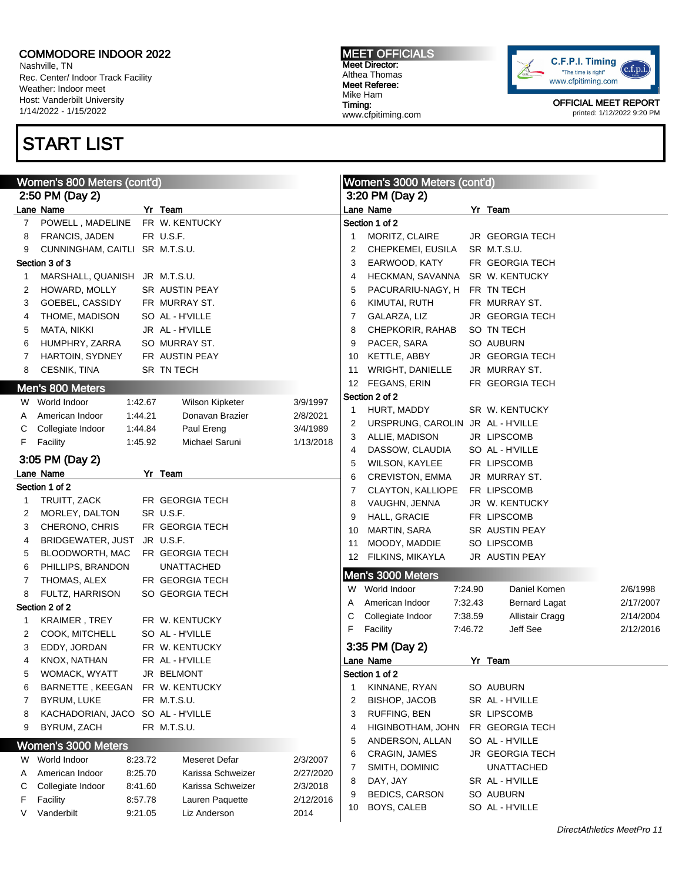Nashville, TN Rec. Center/ Indoor Track Facility Weather: Indoor meet Host: Vanderbilt University 1/14/2022 - 1/15/2022

## START LIST

MEET OFFICIALS Meet Director: Althea Thomas Meet Referee: Mike Ham Timing: www.cfpitiming.com



| Women's 800 Meters (cont'd) |                                                                                             |         |                                                                               |           |                                                              | Women's 3000 Meters (cont'd)                                                                                                                                                                                  |         |                                                                                                                                                                       |           |
|-----------------------------|---------------------------------------------------------------------------------------------|---------|-------------------------------------------------------------------------------|-----------|--------------------------------------------------------------|---------------------------------------------------------------------------------------------------------------------------------------------------------------------------------------------------------------|---------|-----------------------------------------------------------------------------------------------------------------------------------------------------------------------|-----------|
|                             | 2:50 PM (Day 2)                                                                             |         |                                                                               |           |                                                              | 3:20 PM (Day 2)                                                                                                                                                                                               |         |                                                                                                                                                                       |           |
|                             | Lane Name                                                                                   |         | Yr Team                                                                       |           |                                                              | Lane Name                                                                                                                                                                                                     |         | Yr Team                                                                                                                                                               |           |
| 7                           | POWELL, MADELINE                                                                            |         | FR W. KENTUCKY                                                                |           |                                                              | Section 1 of 2                                                                                                                                                                                                |         |                                                                                                                                                                       |           |
| 8                           | <b>FRANCIS, JADEN</b>                                                                       |         | FR U.S.F.                                                                     |           | $\mathbf{1}$                                                 | MORITZ, CLAIRE                                                                                                                                                                                                |         | <b>JR GEORGIA TECH</b>                                                                                                                                                |           |
| 9                           | CUNNINGHAM, CAITLI SR M.T.S.U.                                                              |         |                                                                               |           | 2                                                            | CHEPKEMEI, EUSILA                                                                                                                                                                                             |         | SR M.T.S.U.                                                                                                                                                           |           |
|                             | Section 3 of 3                                                                              |         |                                                                               |           | 3                                                            | EARWOOD, KATY                                                                                                                                                                                                 |         | FR GEORGIA TECH                                                                                                                                                       |           |
| 1                           | MARSHALL, QUANISH JR M.T.S.U.                                                               |         |                                                                               |           | 4                                                            | HECKMAN, SAVANNA                                                                                                                                                                                              |         | SR W. KENTUCKY                                                                                                                                                        |           |
| 2                           | HOWARD, MOLLY                                                                               |         | <b>SR AUSTIN PEAY</b>                                                         |           | 5                                                            | PACURARIU-NAGY, H                                                                                                                                                                                             |         | FR TN TECH                                                                                                                                                            |           |
| 3                           | GOEBEL, CASSIDY                                                                             |         | FR MURRAY ST.                                                                 |           | 6                                                            | KIMUTAI, RUTH                                                                                                                                                                                                 |         | FR MURRAY ST.                                                                                                                                                         |           |
| 4                           | THOME, MADISON                                                                              |         | SO AL - H'VILLE                                                               |           | 7                                                            | GALARZA, LIZ                                                                                                                                                                                                  |         | <b>JR GEORGIA TECH</b>                                                                                                                                                |           |
| 5                           | MATA, NIKKI                                                                                 |         | JR AL - H'VILLE                                                               |           | 8                                                            | CHEPKORIR, RAHAB                                                                                                                                                                                              |         | SO TN TECH                                                                                                                                                            |           |
| 6                           | HUMPHRY, ZARRA                                                                              |         | SO MURRAY ST.                                                                 |           | 9                                                            | PACER, SARA                                                                                                                                                                                                   |         | SO AUBURN                                                                                                                                                             |           |
| 7                           | HARTOIN, SYDNEY                                                                             |         | FR AUSTIN PEAY                                                                |           | 10                                                           | KETTLE, ABBY                                                                                                                                                                                                  |         | <b>JR GEORGIA TECH</b>                                                                                                                                                |           |
| 8                           | <b>CESNIK, TINA</b>                                                                         |         | SR TN TECH                                                                    |           | 11                                                           | <b>WRIGHT, DANIELLE</b>                                                                                                                                                                                       |         | JR MURRAY ST.                                                                                                                                                         |           |
|                             | Men's 800 Meters                                                                            |         |                                                                               |           | 12                                                           | FEGANS, ERIN                                                                                                                                                                                                  |         | FR GEORGIA TECH                                                                                                                                                       |           |
|                             | W World Indoor                                                                              | 1:42.67 | Wilson Kipketer                                                               | 3/9/1997  |                                                              | Section 2 of 2                                                                                                                                                                                                |         |                                                                                                                                                                       |           |
| A                           | American Indoor                                                                             | 1.44.21 | Donavan Brazier                                                               | 2/8/2021  | $\mathbf{1}$                                                 | HURT, MADDY                                                                                                                                                                                                   |         | SR W. KENTUCKY                                                                                                                                                        |           |
| С                           | Collegiate Indoor                                                                           | 1:44.84 | Paul Ereng                                                                    | 3/4/1989  | 2                                                            | URSPRUNG, CAROLIN JR AL - H'VILLE                                                                                                                                                                             |         |                                                                                                                                                                       |           |
| F.                          | Facility                                                                                    | 1:45.92 | Michael Saruni                                                                | 1/13/2018 | 3                                                            | ALLIE, MADISON                                                                                                                                                                                                |         | JR LIPSCOMB                                                                                                                                                           |           |
|                             |                                                                                             |         |                                                                               |           | 4                                                            | DASSOW, CLAUDIA                                                                                                                                                                                               |         | SO AL - H'VILLE                                                                                                                                                       |           |
|                             | 3:05 PM (Day 2)                                                                             |         |                                                                               |           | 5                                                            | <b>WILSON, KAYLEE</b>                                                                                                                                                                                         |         | FR LIPSCOMB                                                                                                                                                           |           |
|                             | Lane Name                                                                                   |         | Yr Team                                                                       |           | 6                                                            | <b>CREVISTON, EMMA</b>                                                                                                                                                                                        |         | JR MURRAY ST.                                                                                                                                                         |           |
|                             | Section 1 of 2                                                                              |         |                                                                               |           | 7                                                            | CLAYTON, KALLIOPE                                                                                                                                                                                             |         | FR LIPSCOMB                                                                                                                                                           |           |
| 1                           | TRUITT, ZACK                                                                                |         | FR GEORGIA TECH                                                               |           | 8                                                            | VAUGHN, JENNA                                                                                                                                                                                                 |         | JR W. KENTUCKY                                                                                                                                                        |           |
| 2                           | MORLEY, DALTON                                                                              |         | SR U.S.F.                                                                     |           | 9                                                            | HALL, GRACIE                                                                                                                                                                                                  |         | FR LIPSCOMB                                                                                                                                                           |           |
| 3                           | CHERONO, CHRIS                                                                              |         | FR GEORGIA TECH                                                               |           | 10                                                           | MARTIN, SARA                                                                                                                                                                                                  |         | SR AUSTIN PEAY                                                                                                                                                        |           |
| 4                           | BRIDGEWATER, JUST JR U.S.F.                                                                 |         |                                                                               |           | 11                                                           | MOODY, MADDIE                                                                                                                                                                                                 |         | SO LIPSCOMB                                                                                                                                                           |           |
| 5                           | BLOODWORTH, MAC                                                                             |         | FR GEORGIA TECH                                                               |           | 12                                                           | FILKINS, MIKAYLA                                                                                                                                                                                              |         | JR AUSTIN PEAY                                                                                                                                                        |           |
| 6                           | PHILLIPS, BRANDON                                                                           |         | <b>UNATTACHED</b>                                                             |           |                                                              | Men's 3000 Meters                                                                                                                                                                                             |         |                                                                                                                                                                       |           |
| 7                           | THOMAS, ALEX                                                                                |         | FR GEORGIA TECH                                                               |           |                                                              | W World Indoor                                                                                                                                                                                                | 7:24.90 | Daniel Komen                                                                                                                                                          | 2/6/1998  |
| 8                           | FULTZ, HARRISON                                                                             |         | SO GEORGIA TECH                                                               |           | A                                                            | American Indoor                                                                                                                                                                                               | 7:32.43 | <b>Bernard Lagat</b>                                                                                                                                                  | 2/17/2007 |
|                             | Section 2 of 2                                                                              |         |                                                                               |           | С                                                            | Collegiate Indoor                                                                                                                                                                                             | 7:38.59 | Allistair Cragg                                                                                                                                                       | 2/14/2004 |
| 1                           | KRAIMER, TREY                                                                               |         | FR W. KENTUCKY                                                                |           | F                                                            | Facility                                                                                                                                                                                                      | 7:46.72 | Jeff See                                                                                                                                                              | 2/12/2016 |
| 2                           | COOK, MITCHELL                                                                              |         | SO AL - H'VILLE                                                               |           |                                                              |                                                                                                                                                                                                               |         |                                                                                                                                                                       |           |
| 3                           | EDDY, JORDAN                                                                                |         | FR W. KENTUCKY                                                                |           |                                                              | 3:35 PM (Day 2)                                                                                                                                                                                               |         |                                                                                                                                                                       |           |
| 4                           | KNOX, NATHAN                                                                                |         | FR AL - H'VILLE                                                               |           |                                                              | Lane Name                                                                                                                                                                                                     |         | Yr Team                                                                                                                                                               |           |
|                             |                                                                                             |         |                                                                               |           |                                                              |                                                                                                                                                                                                               |         |                                                                                                                                                                       |           |
|                             |                                                                                             |         |                                                                               |           |                                                              |                                                                                                                                                                                                               |         |                                                                                                                                                                       |           |
|                             |                                                                                             |         |                                                                               |           |                                                              |                                                                                                                                                                                                               |         |                                                                                                                                                                       |           |
|                             |                                                                                             |         |                                                                               |           |                                                              |                                                                                                                                                                                                               |         |                                                                                                                                                                       |           |
|                             |                                                                                             |         |                                                                               |           |                                                              |                                                                                                                                                                                                               |         |                                                                                                                                                                       |           |
|                             | Women's 3000 Meters                                                                         |         |                                                                               |           |                                                              |                                                                                                                                                                                                               |         |                                                                                                                                                                       |           |
| W                           | World Indoor                                                                                | 8:23.72 | <b>Meseret Defar</b>                                                          | 2/3/2007  |                                                              |                                                                                                                                                                                                               |         |                                                                                                                                                                       |           |
| Α                           | American Indoor                                                                             | 8:25.70 | Karissa Schweizer                                                             | 2/27/2020 |                                                              |                                                                                                                                                                                                               |         |                                                                                                                                                                       |           |
| С                           | Collegiate Indoor                                                                           | 8:41.60 | Karissa Schweizer                                                             | 2/3/2018  |                                                              |                                                                                                                                                                                                               |         |                                                                                                                                                                       |           |
| F                           | Facility                                                                                    | 8:57.78 | Lauren Paquette                                                               | 2/12/2016 |                                                              |                                                                                                                                                                                                               |         |                                                                                                                                                                       |           |
| V                           | Vanderbilt                                                                                  | 9:21.05 | Liz Anderson                                                                  | 2014      |                                                              |                                                                                                                                                                                                               |         |                                                                                                                                                                       |           |
| 5<br>6<br>7<br>8<br>9       | WOMACK, WYATT<br>BARNETTE, KEEGAN<br><b>BYRUM, LUKE</b><br>KACHADORIAN, JACO<br>BYRUM, ZACH |         | JR BELMONT<br>FR W. KENTUCKY<br>FR M.T.S.U.<br>SO AL - H'VILLE<br>FR M.T.S.U. |           | 1<br>$\overline{2}$<br>3<br>4<br>5<br>6<br>7<br>8<br>9<br>10 | Section 1 of 2<br>KINNANE, RYAN<br><b>BISHOP, JACOB</b><br>RUFFING, BEN<br>HIGINBOTHAM, JOHN<br>ANDERSON, ALLAN<br>CRAGIN, JAMES<br>SMITH, DOMINIC<br>DAY, JAY<br><b>BEDICS, CARSON</b><br><b>BOYS, CALEB</b> |         | SO AUBURN<br>SR AL - H'VILLE<br>SR LIPSCOMB<br>FR GEORGIA TECH<br>SO AL - H'VILLE<br>JR GEORGIA TECH<br>UNATTACHED<br>SR AL - H'VILLE<br>SO AUBURN<br>SO AL - H'VILLE |           |